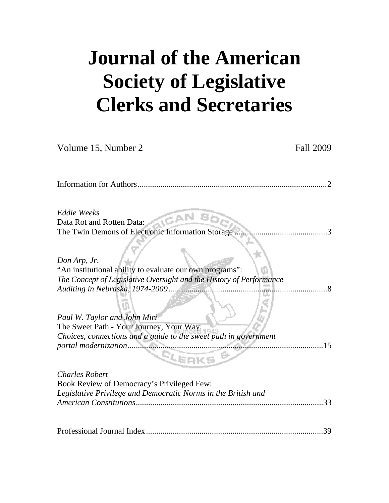# **Journal of the American Society of Legislative Clerks and Secretaries**

| Volume 15, Number 2                                                                                                                                                  | <b>Fall 2009</b> |
|----------------------------------------------------------------------------------------------------------------------------------------------------------------------|------------------|
|                                                                                                                                                                      |                  |
| <b>Eddie Weeks</b><br>Data Rot and Rotten Data:<br>The Twin Demons of Electronic Information Storage                                                                 |                  |
| Don Arp, Jr.<br>"An institutional ability to evaluate our own programs":<br>The Concept of Legislative Oversight and the History of Performance                      |                  |
| Paul W. Taylor and John Miri<br>The Sweet Path - Your Journey, Your Way:<br>Choices, connections and a guide to the sweet path in government<br>portal modernization | 15               |
| <b>Charles Robert</b><br>Book Review of Democracy's Privileged Few:<br>Legislative Privilege and Democratic Norms in the British and                                 | 33               |
| Professional Journal Index.                                                                                                                                          | 39               |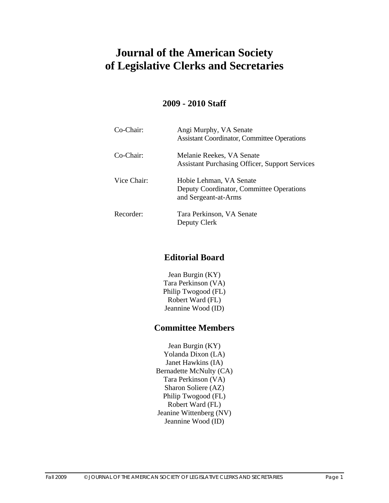# **Journal of the American Society of Legislative Clerks and Secretaries**

# **2009 - 2010 Staff**

| $Co-Chair$  | Angi Murphy, VA Senate<br><b>Assistant Coordinator, Committee Operations</b>                |
|-------------|---------------------------------------------------------------------------------------------|
| $Co-Chair$  | Melanie Reekes, VA Senate<br><b>Assistant Purchasing Officer, Support Services</b>          |
| Vice Chair: | Hobie Lehman, VA Senate<br>Deputy Coordinator, Committee Operations<br>and Sergeant-at-Arms |
| Recorder:   | Tara Perkinson, VA Senate<br>Deputy Clerk                                                   |

# **Editorial Board**

Jean Burgin (KY) Tara Perkinson (VA) Philip Twogood (FL) Robert Ward (FL) Jeannine Wood (ID)

# **Committee Members**

Jean Burgin (KY) Yolanda Dixon (LA) Janet Hawkins (IA) Bernadette McNulty (CA) Tara Perkinson (VA) Sharon Soliere (AZ) Philip Twogood (FL) Robert Ward (FL) Jeanine Wittenberg (NV) Jeannine Wood (ID)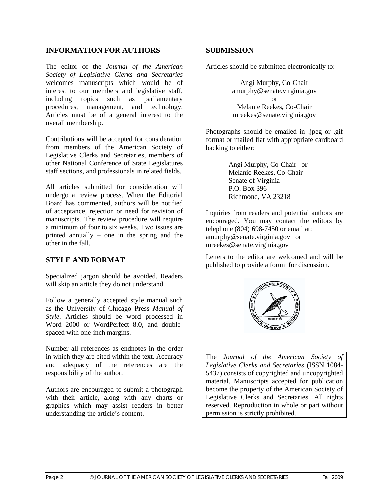#### **INFORMATION FOR AUTHORS**

The editor of the *Journal of the American Society of Legislative Clerks and Secretaries* welcomes manuscripts which would be of interest to our members and legislative staff, including topics such as parliamentary procedures, management, and technology. Articles must be of a general interest to the overall membership.

Contributions will be accepted for consideration from members of the American Society of Legislative Clerks and Secretaries, members of other National Conference of State Legislatures staff sections, and professionals in related fields.

All articles submitted for consideration will undergo a review process. When the Editorial Board has commented, authors will be notified of acceptance, rejection or need for revision of manuscripts. The review procedure will require a minimum of four to six weeks. Two issues are printed annually – one in the spring and the other in the fall.

#### **STYLE AND FORMAT**

Specialized jargon should be avoided. Readers will skip an article they do not understand.

Follow a generally accepted style manual such as the University of Chicago Press *Manual of Style*. Articles should be word processed in Word 2000 or WordPerfect 8.0, and doublespaced with one-inch margins.

Number all references as endnotes in the order in which they are cited within the text. Accuracy and adequacy of the references are the responsibility of the author.

Authors are encouraged to submit a photograph with their article, along with any charts or graphics which may assist readers in better understanding the article's content.

#### **SUBMISSION**

Articles should be submitted electronically to:

Angi Murphy, Co-Chair amurphy@senate.virginia.gov or Melanie Reekes**,** Co-Chair mreekes@senate.virginia.gov

Photographs should be emailed in .jpeg or .gif format or mailed flat with appropriate cardboard backing to either:

> Angi Murphy, Co-Chair or Melanie Reekes, Co-Chair Senate of Virginia P.O. Box 396 Richmond, VA 23218

Inquiries from readers and potential authors are encouraged. You may contact the editors by telephone (804) 698-7450 or email at: amurphy@senate.virginia.gov or mreekes@senate.virginia.gov

Letters to the editor are welcomed and will be published to provide a forum for discussion.



The *Journal of the American Society of Legislative Clerks and Secretaries* (ISSN 1084- 5437) consists of copyrighted and uncopyrighted material. Manuscripts accepted for publication become the property of the American Society of Legislative Clerks and Secretaries. All rights reserved. Reproduction in whole or part without permission is strictly prohibited.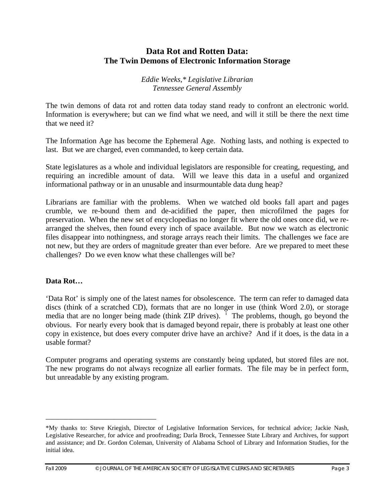# **Data Rot and Rotten Data: The Twin Demons of Electronic Information Storage**

*Eddie Weeks,\* Legislative Librarian Tennessee General Assembly* 

The twin demons of data rot and rotten data today stand ready to confront an electronic world. Information is everywhere; but can we find what we need, and will it still be there the next time that we need it?

The Information Age has become the Ephemeral Age. Nothing lasts, and nothing is expected to last. But we are charged, even commanded, to keep certain data.

State legislatures as a whole and individual legislators are responsible for creating, requesting, and requiring an incredible amount of data. Will we leave this data in a useful and organized informational pathway or in an unusable and insurmountable data dung heap?

Librarians are familiar with the problems. When we watched old books fall apart and pages crumble, we re-bound them and de-acidified the paper, then microfilmed the pages for preservation. When the new set of encyclopedias no longer fit where the old ones once did, we rearranged the shelves, then found every inch of space available. But now we watch as electronic files disappear into nothingness, and storage arrays reach their limits. The challenges we face are not new, but they are orders of magnitude greater than ever before. Are we prepared to meet these challenges? Do we even know what these challenges will be?

#### **Data Rot…**

'Data Rot' is simply one of the latest names for obsolescence. The term can refer to damaged data discs (think of a scratched CD), formats that are no longer in use (think Word 2.0), or storage media that are no longer being made (think ZIP drives).  $\frac{1}{1}$  The problems, though, go beyond the obvious. For nearly every book that is damaged beyond repair, there is probably at least one other copy in existence, but does every computer drive have an archive? And if it does, is the data in a usable format?

Computer programs and operating systems are constantly being updated, but stored files are not. The new programs do not always recognize all earlier formats. The file may be in perfect form, but unreadable by any existing program.

\_\_\_\_\_\_\_\_\_\_\_\_\_\_\_\_\_\_\_\_\_\_\_\_\_\_\_\_\_

<sup>\*</sup>My thanks to: Steve Kriegish, Director of Legislative Information Services, for technical advice; Jackie Nash, Legislative Researcher, for advice and proofreading; Darla Brock, Tennessee State Library and Archives, for support and assistance; and Dr. Gordon Coleman, University of Alabama School of Library and Information Studies, for the initial idea.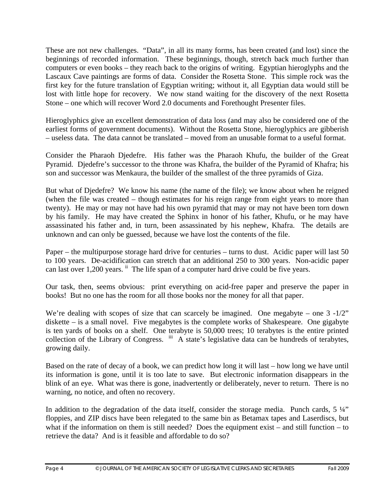These are not new challenges. "Data", in all its many forms, has been created (and lost) since the beginnings of recorded information. These beginnings, though, stretch back much further than computers or even books – they reach back to the origins of writing. Egyptian hieroglyphs and the Lascaux Cave paintings are forms of data. Consider the Rosetta Stone. This simple rock was the first key for the future translation of Egyptian writing; without it, all Egyptian data would still be lost with little hope for recovery. We now stand waiting for the discovery of the next Rosetta Stone – one which will recover Word 2.0 documents and Forethought Presenter files.

Hieroglyphics give an excellent demonstration of data loss (and may also be considered one of the earliest forms of government documents). Without the Rosetta Stone, hieroglyphics are gibberish – useless data. The data cannot be translated – moved from an unusable format to a useful format.

Consider the Pharaoh Djedefre. His father was the Pharaoh Khufu, the builder of the Great Pyramid. Djedefre's successor to the throne was Khafra, the builder of the Pyramid of Khafra; his son and successor was Menkaura, the builder of the smallest of the three pyramids of Giza.

But what of Djedefre? We know his name (the name of the file); we know about when he reigned (when the file was created – though estimates for his reign range from eight years to more than twenty). He may or may not have had his own pyramid that may or may not have been torn down by his family. He may have created the Sphinx in honor of his father, Khufu, or he may have assassinated his father and, in turn, been assassinated by his nephew, Khafra. The details are unknown and can only be guessed, because we have lost the contents of the file.

Paper – the multipurpose storage hard drive for centuries – turns to dust. Acidic paper will last 50 to 100 years. De-acidification can stretch that an additional 250 to 300 years. Non-acidic paper can last over 1,200 years. <sup>ii</sup> The life span of a computer hard drive could be five years.

Our task, then, seems obvious: print everything on acid-free paper and preserve the paper in books! But no one has the room for all those books nor the money for all that paper.

We're dealing with scopes of size that can scarcely be imagined. One megabyte – one  $3 -1/2$ " diskette – is a small novel. Five megabytes is the complete works of Shakespeare. One gigabyte is ten yards of books on a shelf. One terabyte is 50,000 trees; 10 terabytes is the entire printed collection of the Library of Congress. iii. A state's legislative data can be hundreds of terabytes, growing daily.

Based on the rate of decay of a book, we can predict how long it will last – how long we have until its information is gone, until it is too late to save. But electronic information disappears in the blink of an eye. What was there is gone, inadvertently or deliberately, never to return. There is no warning, no notice, and often no recovery.

In addition to the degradation of the data itself, consider the storage media. Punch cards,  $5\frac{1}{4}$ " floppies, and ZIP discs have been relegated to the same bin as Betamax tapes and Laserdiscs, but what if the information on them is still needed? Does the equipment exist – and still function – to retrieve the data? And is it feasible and affordable to do so?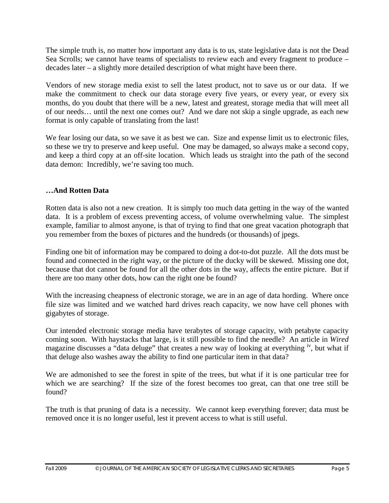The simple truth is, no matter how important any data is to us, state legislative data is not the Dead Sea Scrolls; we cannot have teams of specialists to review each and every fragment to produce – decades later – a slightly more detailed description of what might have been there.

Vendors of new storage media exist to sell the latest product, not to save us or our data. If we make the commitment to check our data storage every five years, or every year, or every six months, do you doubt that there will be a new, latest and greatest, storage media that will meet all of our needs… until the next one comes out? And we dare not skip a single upgrade, as each new format is only capable of translating from the last!

We fear losing our data, so we save it as best we can. Size and expense limit us to electronic files, so these we try to preserve and keep useful. One may be damaged, so always make a second copy, and keep a third copy at an off-site location. Which leads us straight into the path of the second data demon: Incredibly, we're saving too much.

#### **…And Rotten Data**

Rotten data is also not a new creation. It is simply too much data getting in the way of the wanted data. It is a problem of excess preventing access, of volume overwhelming value. The simplest example, familiar to almost anyone, is that of trying to find that one great vacation photograph that you remember from the boxes of pictures and the hundreds (or thousands) of jpegs.

Finding one bit of information may be compared to doing a dot-to-dot puzzle. All the dots must be found and connected in the right way, or the picture of the ducky will be skewed. Missing one dot, because that dot cannot be found for all the other dots in the way, affects the entire picture. But if there are too many other dots, how can the right one be found?

With the increasing cheapness of electronic storage, we are in an age of data hording. Where once file size was limited and we watched hard drives reach capacity, we now have cell phones with gigabytes of storage.

Our intended electronic storage media have terabytes of storage capacity, with petabyte capacity coming soon. With haystacks that large, is it still possible to find the needle? An article in *Wired* magazine discusses a "data deluge" that creates a new way of looking at everything <sup>iv</sup>, but what if that deluge also washes away the ability to find one particular item in that data?

We are admonished to see the forest in spite of the trees, but what if it is one particular tree for which we are searching? If the size of the forest becomes too great, can that one tree still be found?

The truth is that pruning of data is a necessity. We cannot keep everything forever; data must be removed once it is no longer useful, lest it prevent access to what is still useful.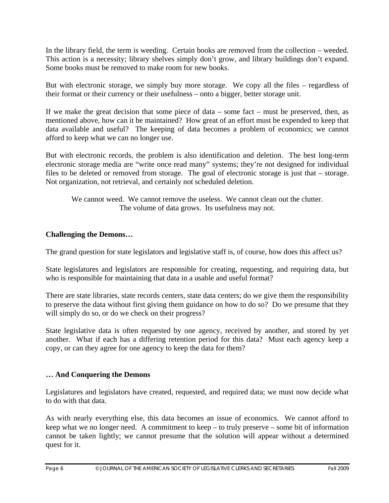In the library field, the term is weeding. Certain books are removed from the collection – weeded. This action is a necessity; library shelves simply don't grow, and library buildings don't expand. Some books must be removed to make room for new books.

But with electronic storage, we simply buy more storage. We copy all the files – regardless of their format or their currency or their usefulness – onto a bigger, better storage unit.

If we make the great decision that some piece of data – some fact – must be preserved, then, as mentioned above, how can it be maintained? How great of an effort must be expended to keep that data available and useful? The keeping of data becomes a problem of economics; we cannot afford to keep what we can no longer use.

But with electronic records, the problem is also identification and deletion. The best long-term electronic storage media are "write once read many" systems; they're not designed for individual files to be deleted or removed from storage. The goal of electronic storage is just that – storage. Not organization, not retrieval, and certainly not scheduled deletion.

We cannot weed. We cannot remove the useless. We cannot clean out the clutter. The volume of data grows. Its usefulness may not.

# **Challenging the Demons…**

The grand question for state legislators and legislative staff is, of course, how does this affect us?

State legislatures and legislators are responsible for creating, requesting, and requiring data, but who is responsible for maintaining that data in a usable and useful format?

There are state libraries, state records centers, state data centers; do we give them the responsibility to preserve the data without first giving them guidance on how to do so? Do we presume that they will simply do so, or do we check on their progress?

State legislative data is often requested by one agency, received by another, and stored by yet another. What if each has a differing retention period for this data? Must each agency keep a copy, or can they agree for one agency to keep the data for them?

# **… And Conquering the Demons**

Legislatures and legislators have created, requested, and required data; we must now decide what to do with that data.

As with nearly everything else, this data becomes an issue of economics. We cannot afford to keep what we no longer need. A commitment to keep – to truly preserve – some bit of information cannot be taken lightly; we cannot presume that the solution will appear without a determined quest for it.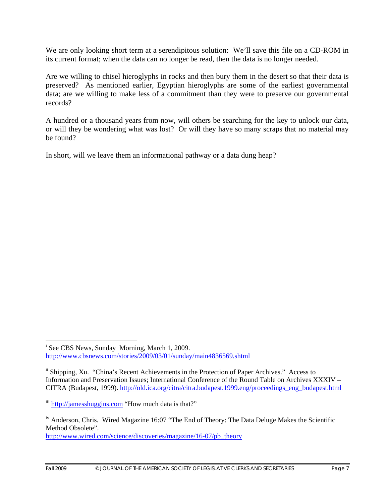We are only looking short term at a serendipitous solution: We'll save this file on a CD-ROM in its current format; when the data can no longer be read, then the data is no longer needed.

Are we willing to chisel hieroglyphs in rocks and then bury them in the desert so that their data is preserved? As mentioned earlier, Egyptian hieroglyphs are some of the earliest governmental data; are we willing to make less of a commitment than they were to preserve our governmental records?

A hundred or a thousand years from now, will others be searching for the key to unlock our data, or will they be wondering what was lost? Or will they have so many scraps that no material may be found?

In short, will we leave them an informational pathway or a data dung heap?

<sup>1</sup> <sup>i</sup> See CBS News, Sunday Morning, March 1, 2009. http://www.cbsnews.com/stories/2009/03/01/sunday/main4836569.shtml

ii Shipping, Xu. "China's Recent Achievements in the Protection of Paper Archives." Access to Information and Preservation Issues; International Conference of the Round Table on Archives XXXIV – CITRA (Budapest, 1999). http://old.ica.org/citra/citra.budapest.1999.eng/proceedings\_eng\_budapest.html

<sup>&</sup>lt;sup>iii</sup> http://jamesshuggins.com "How much data is that?"

<sup>&</sup>lt;sup>iv</sup> Anderson, Chris. Wired Magazine 16:07 "The End of Theory: The Data Deluge Makes the Scientific Method Obsolete".

http://www.wired.com/science/discoveries/magazine/16-07/pb\_theory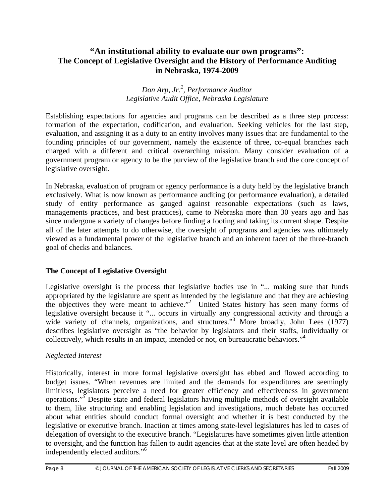# **"An institutional ability to evaluate our own programs": The Concept of Legislative Oversight and the History of Performance Auditing in Nebraska, 1974-2009**

#### *Don Arp, Jr.<sup>1</sup> , Performance Auditor Legislative Audit Office, Nebraska Legislature*

Establishing expectations for agencies and programs can be described as a three step process: formation of the expectation, codification, and evaluation. Seeking vehicles for the last step, evaluation, and assigning it as a duty to an entity involves many issues that are fundamental to the founding principles of our government, namely the existence of three, co-equal branches each charged with a different and critical overarching mission. Many consider evaluation of a government program or agency to be the purview of the legislative branch and the core concept of legislative oversight.

In Nebraska, evaluation of program or agency performance is a duty held by the legislative branch exclusively. What is now known as performance auditing (or performance evaluation), a detailed study of entity performance as gauged against reasonable expectations (such as laws, managements practices, and best practices), came to Nebraska more than 30 years ago and has since undergone a variety of changes before finding a footing and taking its current shape. Despite all of the later attempts to do otherwise, the oversight of programs and agencies was ultimately viewed as a fundamental power of the legislative branch and an inherent facet of the three-branch goal of checks and balances.

#### **The Concept of Legislative Oversight**

Legislative oversight is the process that legislative bodies use in "... making sure that funds appropriated by the legislature are spent as intended by the legislature and that they are achieving the objectives they were meant to achieve."<sup>2</sup> United States history has seen many forms of legislative oversight because it "... occurs in virtually any congressional activity and through a wide variety of channels, organizations, and structures."<sup>3</sup> More broadly, John Lees (1977) describes legislative oversight as "the behavior by legislators and their staffs, individually or collectively, which results in an impact, intended or not, on bureaucratic behaviors."4

#### *Neglected Interest*

Historically, interest in more formal legislative oversight has ebbed and flowed according to budget issues. "When revenues are limited and the demands for expenditures are seemingly limitless, legislators perceive a need for greater efficiency and effectiveness in government operations."<sup>5</sup> Despite state and federal legislators having multiple methods of oversight available to them, like structuring and enabling legislation and investigations, much debate has occurred about what entities should conduct formal oversight and whether it is best conducted by the legislative or executive branch. Inaction at times among state-level legislatures has led to cases of delegation of oversight to the executive branch. "Legislatures have sometimes given little attention to oversight, and the function has fallen to audit agencies that at the state level are often headed by independently elected auditors."6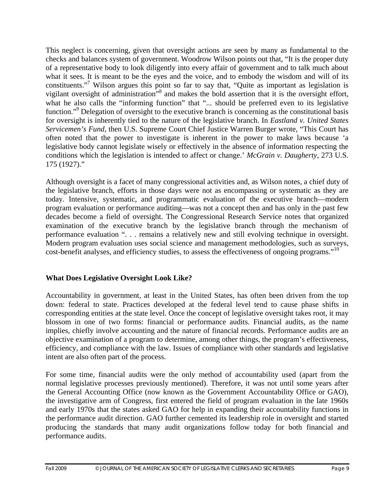This neglect is concerning, given that oversight actions are seen by many as fundamental to the checks and balances system of government. Woodrow Wilson points out that, "It is the proper duty of a representative body to look diligently into every affair of government and to talk much about what it sees. It is meant to be the eyes and the voice, and to embody the wisdom and will of its constituents."<sup>7</sup> Wilson argues this point so far to say that, "Quite as important as legislation is vigilant oversight of administration<sup>78</sup> and makes the bold assertion that it is the oversight effort, what he also calls the "informing function" that "... should be preferred even to its legislative function."<sup>9</sup> Delegation of oversight to the executive branch is concerning as the constitutional basis for oversight is inherently tied to the nature of the legislative branch. In *Eastland v. United States Servicemen's Fund*, then U.S. Supreme Court Chief Justice Warren Burger wrote, "This Court has often noted that the power to investigate is inherent in the power to make laws because 'a legislative body cannot legislate wisely or effectively in the absence of information respecting the conditions which the legislation is intended to affect or change.' *McGrain v. Daugherty*, 273 U.S. 175 (1927)."

Although oversight is a facet of many congressional activities and, as Wilson notes, a chief duty of the legislative branch, efforts in those days were not as encompassing or systematic as they are today. Intensive, systematic, and programmatic evaluation of the executive branch—modern program evaluation or performance auditing—was not a concept then and has only in the past few decades become a field of oversight. The Congressional Research Service notes that organized examination of the executive branch by the legislative branch through the mechanism of performance evaluation ". . . remains a relatively new and still evolving technique in oversight. Modern program evaluation uses social science and management methodologies, such as surveys, cost-benefit analyses, and efficiency studies, to assess the effectiveness of ongoing programs."<sup>10</sup>

# **What Does Legislative Oversight Look Like?**

Accountability in government, at least in the United States, has often been driven from the top down: federal to state. Practices developed at the federal level tend to cause phase shifts in corresponding entities at the state level. Once the concept of legislative oversight takes root, it may blossom in one of two forms: financial or performance audits. Financial audits, as the name implies, chiefly involve accounting and the nature of financial records. Performance audits are an objective examination of a program to determine, among other things, the program's effectiveness, efficiency, and compliance with the law. Issues of compliance with other standards and legislative intent are also often part of the process.

For some time, financial audits were the only method of accountability used (apart from the normal legislative processes previously mentioned). Therefore, it was not until some years after the General Accounting Office (now known as the Government Accountability Office or GAO), the investigative arm of Congress, first entered the field of program evaluation in the late 1960s and early 1970s that the states asked GAO for help in expanding their accountability functions in the performance audit direction. GAO further cemented its leadership role in oversight and started producing the standards that many audit organizations follow today for both financial and performance audits.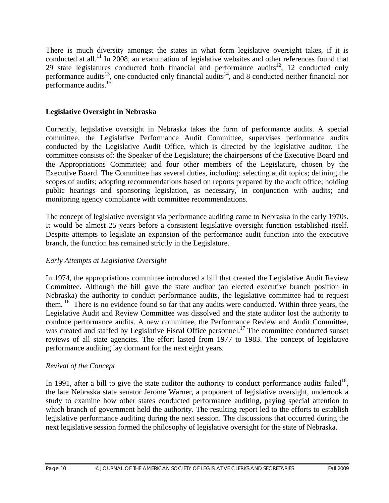There is much diversity amongst the states in what form legislative oversight takes, if it is conducted at all.<sup>11</sup> In 2008, an examination of legislative websites and other references found that 29 state legislatures conducted both financial and performance audits $^{12}$ , 12 conducted only performance audits<sup>13</sup>, one conducted only financial audits<sup>14</sup>, and 8 conducted neither financial nor performance audits.<sup>15</sup>

#### **Legislative Oversight in Nebraska**

Currently, legislative oversight in Nebraska takes the form of performance audits. A special committee, the Legislative Performance Audit Committee, supervises performance audits conducted by the Legislative Audit Office, which is directed by the legislative auditor. The committee consists of: the Speaker of the Legislature; the chairpersons of the Executive Board and the Appropriations Committee; and four other members of the Legislature, chosen by the Executive Board. The Committee has several duties, including: selecting audit topics; defining the scopes of audits; adopting recommendations based on reports prepared by the audit office; holding public hearings and sponsoring legislation, as necessary, in conjunction with audits; and monitoring agency compliance with committee recommendations.

The concept of legislative oversight via performance auditing came to Nebraska in the early 1970s. It would be almost 25 years before a consistent legislative oversight function established itself. Despite attempts to legislate an expansion of the performance audit function into the executive branch, the function has remained strictly in the Legislature.

#### *Early Attempts at Legislative Oversight*

In 1974, the appropriations committee introduced a bill that created the Legislative Audit Review Committee. Although the bill gave the state auditor (an elected executive branch position in Nebraska) the authority to conduct performance audits, the legislative committee had to request them. <sup>16</sup> There is no evidence found so far that any audits were conducted. Within three years, the Legislative Audit and Review Committee was dissolved and the state auditor lost the authority to conduce performance audits. A new committee, the Performance Review and Audit Committee, was created and staffed by Legislative Fiscal Office personnel.<sup>17</sup> The committee conducted sunset reviews of all state agencies. The effort lasted from 1977 to 1983. The concept of legislative performance auditing lay dormant for the next eight years.

#### *Revival of the Concept*

In 1991, after a bill to give the state auditor the authority to conduct performance audits failed<sup>18</sup>. the late Nebraska state senator Jerome Warner, a proponent of legislative oversight, undertook a study to examine how other states conducted performance auditing, paying special attention to which branch of government held the authority. The resulting report led to the efforts to establish legislative performance auditing during the next session. The discussions that occurred during the next legislative session formed the philosophy of legislative oversight for the state of Nebraska.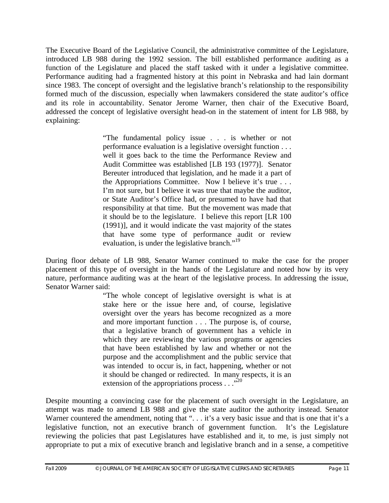The Executive Board of the Legislative Council, the administrative committee of the Legislature, introduced LB 988 during the 1992 session. The bill established performance auditing as a function of the Legislature and placed the staff tasked with it under a legislative committee. Performance auditing had a fragmented history at this point in Nebraska and had lain dormant since 1983. The concept of oversight and the legislative branch's relationship to the responsibility formed much of the discussion, especially when lawmakers considered the state auditor's office and its role in accountability. Senator Jerome Warner, then chair of the Executive Board, addressed the concept of legislative oversight head-on in the statement of intent for LB 988, by explaining:

> "The fundamental policy issue . . . is whether or not performance evaluation is a legislative oversight function . . . well it goes back to the time the Performance Review and Audit Committee was established [LB 193 (1977)]. Senator Bereuter introduced that legislation, and he made it a part of the Appropriations Committee. Now I believe it's true . . . I'm not sure, but I believe it was true that maybe the auditor, or State Auditor's Office had, or presumed to have had that responsibility at that time. But the movement was made that it should be to the legislature. I believe this report [LR 100 (1991)], and it would indicate the vast majority of the states that have some type of performance audit or review evaluation, is under the legislative branch."<sup>19</sup>

During floor debate of LB 988, Senator Warner continued to make the case for the proper placement of this type of oversight in the hands of the Legislature and noted how by its very nature, performance auditing was at the heart of the legislative process. In addressing the issue, Senator Warner said:

"The whole concept of legislative oversight is what is at stake here or the issue here and, of course, legislative oversight over the years has become recognized as a more and more important function . . . The purpose is, of course, that a legislative branch of government has a vehicle in which they are reviewing the various programs or agencies that have been established by law and whether or not the purpose and the accomplishment and the public service that was intended to occur is, in fact, happening, whether or not it should be changed or redirected. In many respects, it is an extension of the appropriations process  $\ldots$ <sup>520</sup>

Despite mounting a convincing case for the placement of such oversight in the Legislature, an attempt was made to amend LB 988 and give the state auditor the authority instead. Senator Warner countered the amendment, noting that ". . . it's a very basic issue and that is one that it's a legislative function, not an executive branch of government function. It's the Legislature reviewing the policies that past Legislatures have established and it, to me, is just simply not appropriate to put a mix of executive branch and legislative branch and in a sense, a competitive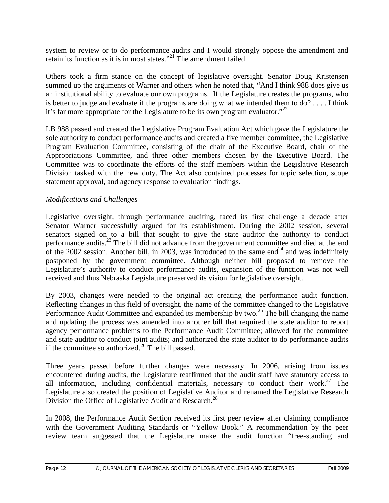system to review or to do performance audits and I would strongly oppose the amendment and retain its function as it is in most states."<sup>21</sup> The amendment failed.

Others took a firm stance on the concept of legislative oversight. Senator Doug Kristensen summed up the arguments of Warner and others when he noted that, "And I think 988 does give us an institutional ability to evaluate our own programs. If the Legislature creates the programs, who is better to judge and evaluate if the programs are doing what we intended them to do? . . . . I think it's far more appropriate for the Legislature to be its own program evaluator."<sup>22</sup>

LB 988 passed and created the Legislative Program Evaluation Act which gave the Legislature the sole authority to conduct performance audits and created a five member committee, the Legislative Program Evaluation Committee, consisting of the chair of the Executive Board, chair of the Appropriations Committee, and three other members chosen by the Executive Board. The Committee was to coordinate the efforts of the staff members within the Legislative Research Division tasked with the new duty. The Act also contained processes for topic selection, scope statement approval, and agency response to evaluation findings.

# *Modifications and Challenges*

Legislative oversight, through performance auditing, faced its first challenge a decade after Senator Warner successfully argued for its establishment. During the 2002 session, several senators signed on to a bill that sought to give the state auditor the authority to conduct performance audits.23 The bill did not advance from the government committee and died at the end of the 2002 session. Another bill, in 2003, was introduced to the same end<sup>24</sup> and was indefinitely postponed by the government committee. Although neither bill proposed to remove the Legislature's authority to conduct performance audits, expansion of the function was not well received and thus Nebraska Legislature preserved its vision for legislative oversight.

By 2003, changes were needed to the original act creating the performance audit function. Reflecting changes in this field of oversight, the name of the committee changed to the Legislative Performance Audit Committee and expanded its membership by two.<sup>25</sup> The bill changing the name and updating the process was amended into another bill that required the state auditor to report agency performance problems to the Performance Audit Committee; allowed for the committee and state auditor to conduct joint audits; and authorized the state auditor to do performance audits if the committee so authorized.<sup>26</sup> The bill passed.

Three years passed before further changes were necessary. In 2006, arising from issues encountered during audits, the Legislature reaffirmed that the audit staff have statutory access to all information, including confidential materials, necessary to conduct their work.<sup>27</sup> The Legislature also created the position of Legislative Auditor and renamed the Legislative Research Division the Office of Legislative Audit and Research.<sup>28</sup>

In 2008, the Performance Audit Section received its first peer review after claiming compliance with the Government Auditing Standards or "Yellow Book." A recommendation by the peer review team suggested that the Legislature make the audit function "free-standing and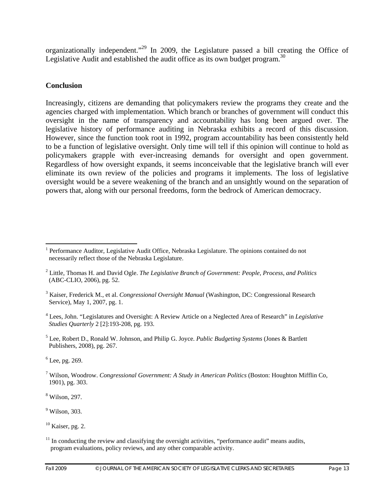organizationally independent."29 In 2009, the Legislature passed a bill creating the Office of Legislative Audit and established the audit office as its own budget program.<sup>30</sup>

#### **Conclusion**

Increasingly, citizens are demanding that policymakers review the programs they create and the agencies charged with implementation. Which branch or branches of government will conduct this oversight in the name of transparency and accountability has long been argued over. The legislative history of performance auditing in Nebraska exhibits a record of this discussion. However, since the function took root in 1992, program accountability has been consistently held to be a function of legislative oversight. Only time will tell if this opinion will continue to hold as policymakers grapple with ever-increasing demands for oversight and open government. Regardless of how oversight expands, it seems inconceivable that the legislative branch will ever eliminate its own review of the policies and programs it implements. The loss of legislative oversight would be a severe weakening of the branch and an unsightly wound on the separation of powers that, along with our personal freedoms, form the bedrock of American democracy.

- 3 Kaiser, Frederick M., et al. *Congressional Oversight Manual* (Washington, DC: Congressional Research Service), May 1, 2007, pg. 1.
- 4 Lees, John. "Legislatures and Oversight: A Review Article on a Neglected Area of Research" in *Legislative Studies Quarterly* 2 [2]:193-208, pg. 193.
- 5 Lee, Robert D., Ronald W. Johnson, and Philip G. Joyce. *Public Budgeting Systems* (Jones & Bartlett Publishers, 2008), pg. 267.

 $6$  Lee, pg. 269.

7 Wilson, Woodrow. *Congressional Government: A Study in American Politics* (Boston: Houghton Mifflin Co, 1901), pg. 303.

8 Wilson, 297.

<sup>9</sup> Wilson, 303.

 $10$  Kaiser, pg. 2.

 $11$  In conducting the review and classifying the oversight activities, "performance audit" means audits, program evaluations, policy reviews, and any other comparable activity.

<sup>&</sup>lt;sup>1</sup> Performance Auditor, Legislative Audit Office, Nebraska Legislature. The opinions contained do not necessarily reflect those of the Nebraska Legislature.

<sup>2</sup> Little, Thomas H. and David Ogle. *The Legislative Branch of Government: People, Process, and Politics* (ABC-CLIO, 2006), pg. 52.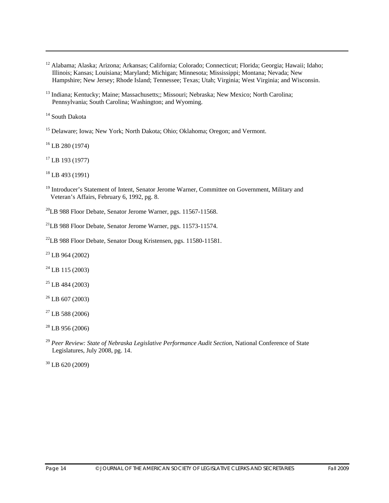- 12 Alabama; Alaska; Arizona; Arkansas; California; Colorado; Connecticut; Florida; Georgia; Hawaii; Idaho; Illinois; Kansas; Louisiana; Maryland; Michigan; Minnesota; Mississippi; Montana; Nevada; New Hampshire; New Jersey; Rhode Island; Tennessee; Texas; Utah; Virginia; West Virginia; and Wisconsin.
- <sup>13</sup> Indiana; Kentucky; Maine; Massachusetts;; Missouri; Nebraska; New Mexico; North Carolina; Pennsylvania; South Carolina; Washington; and Wyoming.

<sup>14</sup> South Dakota

 $\overline{a}$ 

<sup>15</sup> Delaware; Iowa; New York; North Dakota; Ohio; Oklahoma; Oregon; and Vermont.

<sup>16</sup> LB 280 (1974)

 $17$  LB 193 (1977)

18 LB 493 (1991)

<sup>19</sup> Introducer's Statement of Intent, Senator Jerome Warner, Committee on Government, Military and Veteran's Affairs, February 6, 1992, pg. 8.

<sup>20</sup>LB 988 Floor Debate, Senator Jerome Warner, pgs. 11567-11568.

- $^{21}$ LB 988 Floor Debate, Senator Jerome Warner, pgs. 11573-11574.
- 22LB 988 Floor Debate, Senator Doug Kristensen, pgs. 11580-11581.
- $23$  LB 964 (2002)
- $^{24}$  LB 115 (2003)
- $25$  LB 484 (2003)
- $26$  LB 607 (2003)
- $^{27}$  LB 588 (2006)

 $28$  LB 956 (2006)

<sup>29</sup> *Peer Review: State of Nebraska Legislative Performance Audit Section*, National Conference of State Legislatures, July 2008, pg. 14.

30 LB 620 (2009)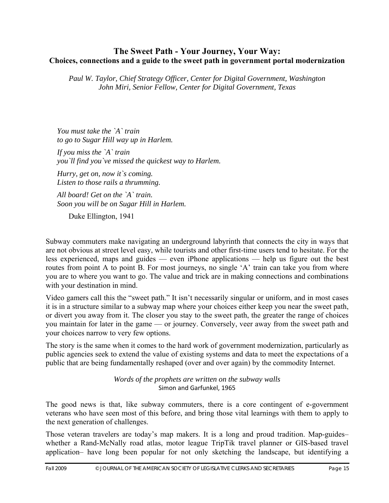# **The Sweet Path - Your Journey, Your Way: Choices, connections and a guide to the sweet path in government portal modernization**

*Paul W. Taylor, Chief Strategy Officer, Center for Digital Government, Washington John Miri, Senior Fellow, Center for Digital Government, Texas* 

*You must take the `A` train to go to Sugar Hill way up in Harlem.* 

*If you miss the `A` train you`ll find you`ve missed the quickest way to Harlem.* 

*Hurry, get on, now it`s coming. Listen to those rails a thrumming.* 

*All board! Get on the `A` train. Soon you will be on Sugar Hill in Harlem.* 

Duke Ellington, 1941

Subway commuters make navigating an underground labyrinth that connects the city in ways that are not obvious at street level easy, while tourists and other first-time users tend to hesitate. For the less experienced, maps and guides — even iPhone applications — help us figure out the best routes from point A to point B. For most journeys, no single 'A' train can take you from where you are to where you want to go. The value and trick are in making connections and combinations with your destination in mind.

Video gamers call this the "sweet path." It isn't necessarily singular or uniform, and in most cases it is in a structure similar to a subway map where your choices either keep you near the sweet path, or divert you away from it. The closer you stay to the sweet path, the greater the range of choices you maintain for later in the game — or journey. Conversely, veer away from the sweet path and your choices narrow to very few options.

The story is the same when it comes to the hard work of government modernization, particularly as public agencies seek to extend the value of existing systems and data to meet the expectations of a public that are being fundamentally reshaped (over and over again) by the commodity Internet.

> *Words of the prophets are written on the subway walls*  Simon and Garfunkel, 1965

The good news is that, like subway commuters, there is a core contingent of e-government veterans who have seen most of this before, and bring those vital learnings with them to apply to the next generation of challenges.

Those veteran travelers are today's map makers. It is a long and proud tradition. Map-guides– whether a Rand-McNally road atlas, motor league TripTik travel planner or GIS-based travel application– have long been popular for not only sketching the landscape, but identifying a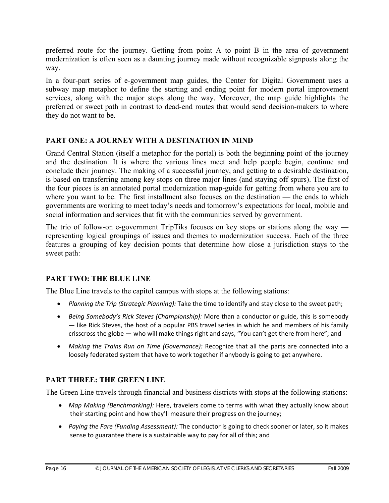preferred route for the journey. Getting from point A to point B in the area of government modernization is often seen as a daunting journey made without recognizable signposts along the way.

In a four-part series of e-government map guides, the Center for Digital Government uses a subway map metaphor to define the starting and ending point for modern portal improvement services, along with the major stops along the way. Moreover, the map guide highlights the preferred or sweet path in contrast to dead-end routes that would send decision-makers to where they do not want to be.

#### **PART ONE: A JOURNEY WITH A DESTINATION IN MIND**

Grand Central Station (itself a metaphor for the portal) is both the beginning point of the journey and the destination. It is where the various lines meet and help people begin, continue and conclude their journey. The making of a successful journey, and getting to a desirable destination, is based on transferring among key stops on three major lines (and staying off spurs). The first of the four pieces is an annotated portal modernization map-guide for getting from where you are to where you want to be. The first installment also focuses on the destination — the ends to which governments are working to meet today's needs and tomorrow's expectations for local, mobile and social information and services that fit with the communities served by government.

The trio of follow-on e-government TripTiks focuses on key stops or stations along the way representing logical groupings of issues and themes to modernization success. Each of the three features a grouping of key decision points that determine how close a jurisdiction stays to the sweet path:

# **PART TWO: THE BLUE LINE**

The Blue Line travels to the capitol campus with stops at the following stations:

- *Planning the Trip (Strategic Planning):* Take the time to identify and stay close to the sweet path;
- *Being Somebody's Rick Steves (Championship):* More than a conductor or guide, this is somebody — like Rick Steves, the host of a popular PBS travel series in which he and members of his family crisscross the globe — who will make things right and says, "You can't get there from here"; and
- *Making the Trains Run on Time (Governance):* Recognize that all the parts are connected into a loosely federated system that have to work together if anybody is going to get anywhere.

# **PART THREE: THE GREEN LINE**

The Green Line travels through financial and business districts with stops at the following stations:

- *Map Making (Benchmarking):* Here, travelers come to terms with what they actually know about their starting point and how they'll measure their progress on the journey;
- *Paying the Fare (Funding Assessment):* The conductor is going to check sooner or later, so it makes sense to guarantee there is a sustainable way to pay for all of this; and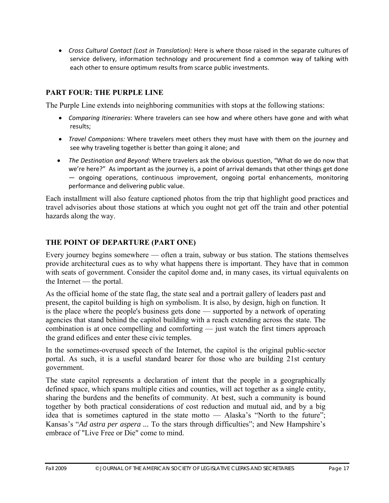• *Cross Cultural Contact (Lost in Translation):* Here is where those raised in the separate cultures of service delivery, information technology and procurement find a common way of talking with each other to ensure optimum results from scarce public investments.

# **PART FOUR: THE PURPLE LINE**

The Purple Line extends into neighboring communities with stops at the following stations:

- *Comparing Itineraries*: Where travelers can see how and where others have gone and with what results;
- *Travel Companions:* Where travelers meet others they must have with them on the journey and see why traveling together is better than going it alone; and
- *The Destination and Beyond*: Where travelers ask the obvious question, "What do we do now that we're here?" As important as the journey is, a point of arrival demands that other things get done — ongoing operations, continuous improvement, ongoing portal enhancements, monitoring performance and delivering public value.

Each installment will also feature captioned photos from the trip that highlight good practices and travel advisories about those stations at which you ought not get off the train and other potential hazards along the way.

# **THE POINT OF DEPARTURE (PART ONE)**

Every journey begins somewhere — often a train, subway or bus station. The stations themselves provide architectural cues as to why what happens there is important. They have that in common with seats of government. Consider the capitol dome and, in many cases, its virtual equivalents on the Internet — the portal.

As the official home of the state flag, the state seal and a portrait gallery of leaders past and present, the capitol building is high on symbolism. It is also, by design, high on function. It is the place where the people's business gets done — supported by a network of operating agencies that stand behind the capitol building with a reach extending across the state. The combination is at once compelling and comforting — just watch the first timers approach the grand edifices and enter these civic temples.

In the sometimes-overused speech of the Internet, the capitol is the original public-sector portal. As such, it is a useful standard bearer for those who are building 21st century government.

The state capitol represents a declaration of intent that the people in a geographically defined space, which spans multiple cities and counties, will act together as a single entity, sharing the burdens and the benefits of community. At best, such a community is bound together by both practical considerations of cost reduction and mutual aid, and by a big idea that is sometimes captured in the state motto — Alaska's "North to the future"; Kansas's "*Ad astra per aspera ...* To the stars through difficulties"; and New Hampshire's embrace of "Live Free or Die" come to mind.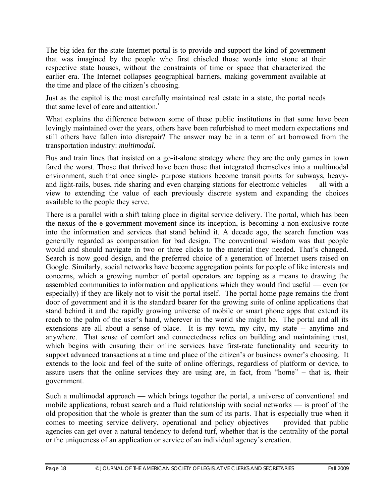The big idea for the state Internet portal is to provide and support the kind of government that was imagined by the people who first chiseled those words into stone at their respective state houses, without the constraints of time or space that characterized the earlier era. The Internet collapses geographical barriers, making government available at the time and place of the citizen's choosing.

Just as the capitol is the most carefully maintained real estate in a state, the portal needs that same level of care and attention.<sup>1</sup>

What explains the difference between some of these public institutions in that some have been lovingly maintained over the years, others have been refurbished to meet modern expectations and still others have fallen into disrepair? The answer may be in a term of art borrowed from the transportation industry: *multimodal.* 

Bus and train lines that insisted on a go-it-alone strategy where they are the only games in town fared the worst. Those that thrived have been those that integrated themselves into a multimodal environment, such that once single- purpose stations become transit points for subways, heavyand light-rails, buses, ride sharing and even charging stations for electronic vehicles — all with a view to extending the value of each previously discrete system and expanding the choices available to the people they serve.

There is a parallel with a shift taking place in digital service delivery. The portal, which has been the nexus of the e-government movement since its inception, is becoming a non-exclusive route into the information and services that stand behind it. A decade ago, the search function was generally regarded as compensation for bad design. The conventional wisdom was that people would and should navigate in two or three clicks to the material they needed. That's changed. Search is now good design, and the preferred choice of a generation of Internet users raised on Google. Similarly, social networks have become aggregation points for people of like interests and concerns, which a growing number of portal operators are tapping as a means to drawing the assembled communities to information and applications which they would find useful — even (or especially) if they are likely not to visit the portal itself. The portal home page remains the front door of government and it is the standard bearer for the growing suite of online applications that stand behind it and the rapidly growing universe of mobile or smart phone apps that extend its reach to the palm of the user's hand, wherever in the world she might be. The portal and all its extensions are all about a sense of place. It is my town, my city, my state -- anytime and anywhere. That sense of comfort and connectedness relies on building and maintaining trust, which begins with ensuring their online services have first-rate functionality and security to support advanced transactions at a time and place of the citizen's or business owner's choosing. It extends to the look and feel of the suite of online offerings, regardless of platform or device, to assure users that the online services they are using are, in fact, from "home" – that is, their government.

Such a multimodal approach — which brings together the portal, a universe of conventional and mobile applications, robust search and a fluid relationship with social networks — is proof of the old proposition that the whole is greater than the sum of its parts. That is especially true when it comes to meeting service delivery, operational and policy objectives — provided that public agencies can get over a natural tendency to defend turf, whether that is the centrality of the portal or the uniqueness of an application or service of an individual agency's creation.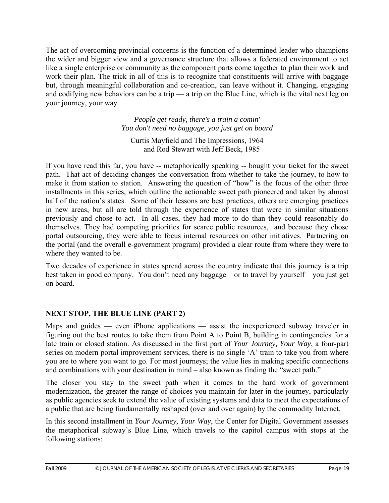The act of overcoming provincial concerns is the function of a determined leader who champions the wider and bigger view and a governance structure that allows a federated environment to act like a single enterprise or community as the component parts come together to plan their work and work their plan. The trick in all of this is to recognize that constituents will arrive with baggage but, through meaningful collaboration and co-creation, can leave without it. Changing, engaging and codifying new behaviors can be a trip — a trip on the Blue Line, which is the vital next leg on your journey, your way.

> *People get ready, there's a train a comin' You don't need no baggage, you just get on board*

Curtis Mayfield and The Impressions, 1964 and Rod Stewart with Jeff Beck, 1985

If you have read this far, you have -- metaphorically speaking -- bought your ticket for the sweet path. That act of deciding changes the conversation from whether to take the journey, to how to make it from station to station. Answering the question of "how" is the focus of the other three installments in this series, which outline the actionable sweet path pioneered and taken by almost half of the nation's states. Some of their lessons are best practices, others are emerging practices in new areas, but all are told through the experience of states that were in similar situations previously and chose to act. In all cases, they had more to do than they could reasonably do themselves. They had competing priorities for scarce public resources, and because they chose portal outsourcing, they were able to focus internal resources on other initiatives. Partnering on the portal (and the overall e-government program) provided a clear route from where they were to where they wanted to be.

Two decades of experience in states spread across the country indicate that this journey is a trip best taken in good company. You don't need any baggage – or to travel by yourself – you just get on board.

# **NEXT STOP, THE BLUE LINE (PART 2)**

Maps and guides — even iPhone applications — assist the inexperienced subway traveler in figuring out the best routes to take them from Point A to Point B, building in contingencies for a late train or closed station. As discussed in the first part of *Your Journey, Your Way*, a four-part series on modern portal improvement services, there is no single 'A' train to take you from where you are to where you want to go. For most journeys; the value lies in making specific connections and combinations with your destination in mind – also known as finding the "sweet path."

The closer you stay to the sweet path when it comes to the hard work of government modernization, the greater the range of choices you maintain for later in the journey, particularly as public agencies seek to extend the value of existing systems and data to meet the expectations of a public that are being fundamentally reshaped (over and over again) by the commodity Internet.

In this second installment in *Your Journey, Your Way*, the Center for Digital Government assesses the metaphorical subway's Blue Line, which travels to the capitol campus with stops at the following stations: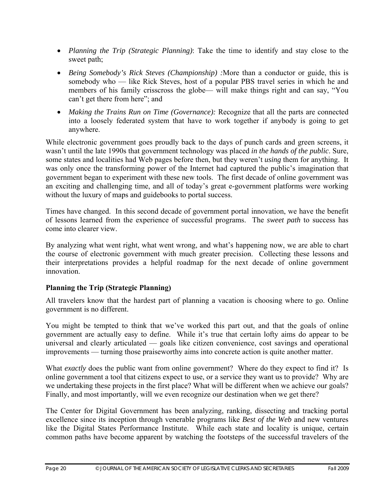- *Planning the Trip (Strategic Planning)*: Take the time to identify and stay close to the sweet path;
- *Being Somebody's Rick Steves (Championship) :*More than a conductor or guide, this is somebody who — like Rick Steves, host of a popular PBS travel series in which he and members of his family crisscross the globe— will make things right and can say, "You can't get there from here"; and
- *Making the Trains Run on Time (Governance):* Recognize that all the parts are connected into a loosely federated system that have to work together if anybody is going to get anywhere.

While electronic government goes proudly back to the days of punch cards and green screens, it wasn't until the late 1990s that government technology was placed *in the hands of the public*. Sure, some states and localities had Web pages before then, but they weren't *using* them for anything. It was only once the transforming power of the Internet had captured the public's imagination that government began to experiment with these new tools. The first decade of online government was an exciting and challenging time, and all of today's great e-government platforms were working without the luxury of maps and guidebooks to portal success.

Times have changed. In this second decade of government portal innovation, we have the benefit of lessons learned from the experience of successful programs. The *sweet path* to success has come into clearer view.

By analyzing what went right, what went wrong, and what's happening now, we are able to chart the course of electronic government with much greater precision. Collecting these lessons and their interpretations provides a helpful roadmap for the next decade of online government innovation.

# **Planning the Trip (Strategic Planning)**

All travelers know that the hardest part of planning a vacation is choosing where to go. Online government is no different.

You might be tempted to think that we've worked this part out, and that the goals of online government are actually easy to define. While it's true that certain lofty aims do appear to be universal and clearly articulated — goals like citizen convenience, cost savings and operational improvements — turning those praiseworthy aims into concrete action is quite another matter.

What *exactly* does the public want from online government? Where do they expect to find it? Is online government a tool that citizens expect to use, or a service they want us to provide? Why are we undertaking these projects in the first place? What will be different when we achieve our goals? Finally, and most importantly, will we even recognize our destination when we get there?

The Center for Digital Government has been analyzing, ranking, dissecting and tracking portal excellence since its inception through venerable programs like *Best of the Web* and new ventures like the Digital States Performance Institute. While each state and locality is unique, certain common paths have become apparent by watching the footsteps of the successful travelers of the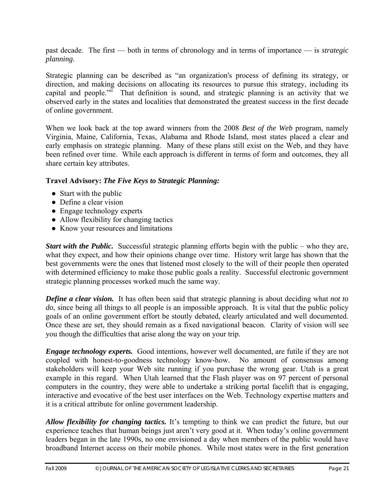past decade. The first — both in terms of chronology and in terms of importance — is *strategic planning*.

Strategic planning can be described as "an organization's process of defining its strategy, or direction, and making decisions on allocating its resources to pursue this strategy, including its capital and people."<sup>if</sup> That definition is sound, and strategic planning is an activity that we observed early in the states and localities that demonstrated the greatest success in the first decade of online government.

When we look back at the top award winners from the 2008 *Best of the Web* program, namely Virginia, Maine, California, Texas, Alabama and Rhode Island, most states placed a clear and early emphasis on strategic planning. Many of these plans still exist on the Web, and they have been refined over time. While each approach is different in terms of form and outcomes, they all share certain key attributes.

# **Travel Advisory:** *The Five Keys to Strategic Planning:*

- Start with the public
- Define a clear vision
- Engage technology experts
- Allow flexibility for changing tactics
- Know your resources and limitations

*Start with the Public.* Successful strategic planning efforts begin with the public – who they are, what they expect, and how their opinions change over time. History writ large has shown that the best governments were the ones that listened most closely to the will of their people then operated with determined efficiency to make those public goals a reality. Successful electronic government strategic planning processes worked much the same way.

*Define a clear vision.* It has often been said that strategic planning is about deciding what *not to do*, since being all things to all people is an impossible approach. It is vital that the public policy goals of an online government effort be stoutly debated, clearly articulated and well documented. Once these are set, they should remain as a fixed navigational beacon. Clarity of vision will see you though the difficulties that arise along the way on your trip.

*Engage technology experts.* Good intentions, however well documented, are futile if they are not coupled with honest-to-goodness technology know-how. No amount of consensus among stakeholders will keep your Web site running if you purchase the wrong gear. Utah is a great example in this regard. When Utah learned that the Flash player was on 97 percent of personal computers in the country, they were able to undertake a striking portal facelift that is engaging, interactive and evocative of the best user interfaces on the Web. Technology expertise matters and it is a critical attribute for online government leadership.

*Allow flexibility for changing tactics.* It's tempting to think we can predict the future, but our experience teaches that human beings just aren't very good at it. When today's online government leaders began in the late 1990s, no one envisioned a day when members of the public would have broadband Internet access on their mobile phones. While most states were in the first generation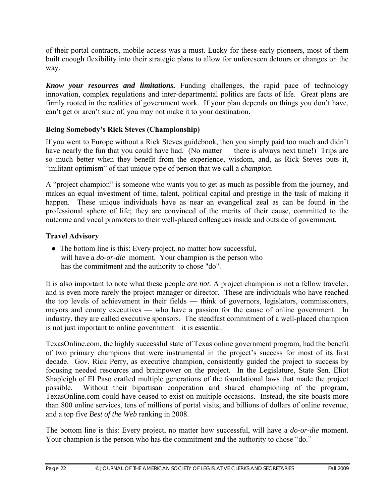of their portal contracts, mobile access was a must. Lucky for these early pioneers, most of them built enough flexibility into their strategic plans to allow for unforeseen detours or changes on the way.

*Know your resources and limitations.* Funding challenges, the rapid pace of technology innovation, complex regulations and inter-departmental politics are facts of life. Great plans are firmly rooted in the realities of government work. If your plan depends on things you don't have, can't get or aren't sure of, you may not make it to your destination.

# **Being Somebody's Rick Steves (Championship)**

If you went to Europe without a Rick Steves guidebook, then you simply paid too much and didn't have nearly the fun that you could have had. (No matter — there is always next time!) Trips are so much better when they benefit from the experience, wisdom, and, as Rick Steves puts it, "militant optimism" of that unique type of person that we call a *champion*.

A "project champion" is someone who wants you to get as much as possible from the journey, and makes an equal investment of time, talent, political capital and prestige in the task of making it happen. These unique individuals have as near an evangelical zeal as can be found in the professional sphere of life; they are convinced of the merits of their cause, committed to the outcome and vocal promoters to their well-placed colleagues inside and outside of government.

#### **Travel Advisory**

• The bottom line is this: Every project, no matter how successful, will have a *do-or-die* moment. Your champion is the person who has the commitment and the authority to chose "do".

It is also important to note what these people *are not.* A project champion is not a fellow traveler, and is even more rarely the project manager or director. These are individuals who have reached the top levels of achievement in their fields — think of governors, legislators, commissioners, mayors and county executives — who have a passion for the cause of online government. In industry, they are called executive sponsors. The steadfast commitment of a well-placed champion is not just important to online government – it is essential.

TexasOnline.com, the highly successful state of Texas online government program, had the benefit of two primary champions that were instrumental in the project's success for most of its first decade. Gov. Rick Perry, as executive champion, consistently guided the project to success by focusing needed resources and brainpower on the project. In the Legislature, State Sen. Eliot Shapleigh of El Paso crafted multiple generations of the foundational laws that made the project possible. Without their bipartisan cooperation and shared championing of the program, TexasOnline.com could have ceased to exist on multiple occasions. Instead, the site boasts more than 800 online services, tens of millions of portal visits, and billions of dollars of online revenue, and a top five *Best of the Web* ranking in 2008.

The bottom line is this: Every project, no matter how successful, will have a *do-or-die* moment. Your champion is the person who has the commitment and the authority to chose "do."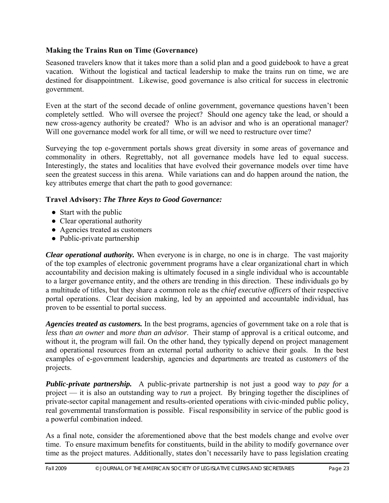#### **Making the Trains Run on Time (Governance)**

Seasoned travelers know that it takes more than a solid plan and a good guidebook to have a great vacation. Without the logistical and tactical leadership to make the trains run on time, we are destined for disappointment. Likewise, good governance is also critical for success in electronic government.

Even at the start of the second decade of online government, governance questions haven't been completely settled. Who will oversee the project? Should one agency take the lead, or should a new cross-agency authority be created? Who is an advisor and who is an operational manager? Will one governance model work for all time, or will we need to restructure over time?

Surveying the top e-government portals shows great diversity in some areas of governance and commonality in others. Regrettably, not all governance models have led to equal success. Interestingly, the states and localities that have evolved their governance models over time have seen the greatest success in this arena. While variations can and do happen around the nation, the key attributes emerge that chart the path to good governance:

#### **Travel Advisory:** *The Three Keys to Good Governance:*

- Start with the public
- Clear operational authority
- Agencies treated as customers
- Public-private partnership

*Clear operational authority.* When everyone is in charge, no one is in charge. The vast majority of the top examples of electronic government programs have a clear organizational chart in which accountability and decision making is ultimately focused in a single individual who is accountable to a larger governance entity, and the others are trending in this direction. These individuals go by a multitude of titles, but they share a common role as the *chief executive officers* of their respective portal operations. Clear decision making, led by an appointed and accountable individual, has proven to be essential to portal success.

*Agencies treated as customers.* In the best programs, agencies of government take on a role that is *less than an owner* and *more than an advisor*. Their stamp of approval is a critical outcome, and without it, the program will fail. On the other hand, they typically depend on project management and operational resources from an external portal authority to achieve their goals. In the best examples of e-government leadership, agencies and departments are treated as *customers* of the projects.

*Public-private partnership.* A public-private partnership is not just a good way to *pay for* a project — it is also an outstanding way to *run* a project. By bringing together the disciplines of private-sector capital management and results-oriented operations with civic-minded public policy, real governmental transformation is possible. Fiscal responsibility in service of the public good is a powerful combination indeed.

As a final note, consider the aforementioned above that the best models change and evolve over time. To ensure maximum benefits for constituents, build in the ability to modify governance over time as the project matures. Additionally, states don't necessarily have to pass legislation creating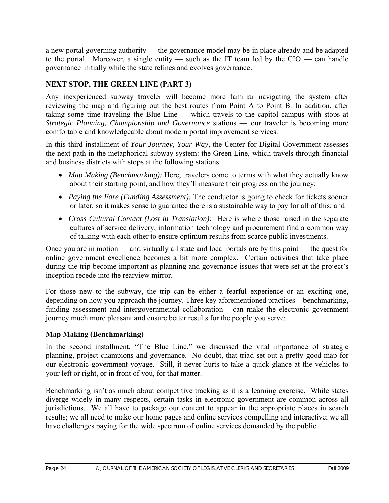a new portal governing authority — the governance model may be in place already and be adapted to the portal. Moreover, a single entity — such as the IT team led by the  $\overline{CIO}$  — can handle governance initially while the state refines and evolves governance.

# **NEXT STOP, THE GREEN LINE (PART 3)**

Any inexperienced subway traveler will become more familiar navigating the system after reviewing the map and figuring out the best routes from Point A to Point B. In addition, after taking some time traveling the Blue Line — which travels to the capitol campus with stops at *Strategic Planning, Championship and Governance* stations — our traveler is becoming more comfortable and knowledgeable about modern portal improvement services.

In this third installment of *Your Journey, Your Way*, the Center for Digital Government assesses the next path in the metaphorical subway system: the Green Line, which travels through financial and business districts with stops at the following stations:

- *Map Making (Benchmarking):* Here, travelers come to terms with what they actually know about their starting point, and how they'll measure their progress on the journey;
- *Paying the Fare (Funding Assessment)*: The conductor is going to check for tickets sooner or later, so it makes sense to guarantee there is a sustainable way to pay for all of this; and
- *Cross Cultural Contact (Lost in Translation):* Here is where those raised in the separate cultures of service delivery, information technology and procurement find a common way of talking with each other to ensure optimum results from scarce public investments.

Once you are in motion — and virtually all state and local portals are by this point — the quest for online government excellence becomes a bit more complex. Certain activities that take place during the trip become important as planning and governance issues that were set at the project's inception recede into the rearview mirror.

For those new to the subway, the trip can be either a fearful experience or an exciting one, depending on how you approach the journey. Three key aforementioned practices – benchmarking, funding assessment and intergovernmental collaboration – can make the electronic government journey much more pleasant and ensure better results for the people you serve:

#### **Map Making (Benchmarking)**

In the second installment, "The Blue Line," we discussed the vital importance of strategic planning, project champions and governance. No doubt, that triad set out a pretty good map for our electronic government voyage. Still, it never hurts to take a quick glance at the vehicles to your left or right, or in front of you, for that matter.

Benchmarking isn't as much about competitive tracking as it is a learning exercise. While states diverge widely in many respects, certain tasks in electronic government are common across all jurisdictions. We all have to package our content to appear in the appropriate places in search results; we all need to make our home pages and online services compelling and interactive; we all have challenges paying for the wide spectrum of online services demanded by the public.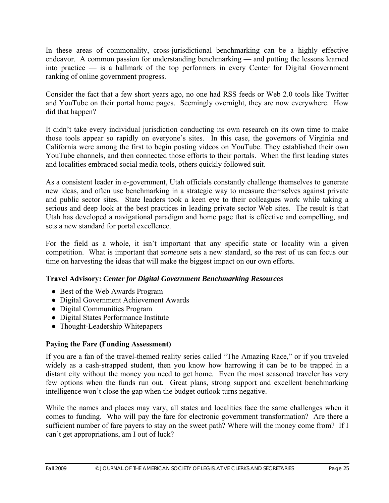In these areas of commonality, cross-jurisdictional benchmarking can be a highly effective endeavor. A common passion for understanding benchmarking — and putting the lessons learned into practice — is a hallmark of the top performers in every Center for Digital Government ranking of online government progress.

Consider the fact that a few short years ago, no one had RSS feeds or Web 2.0 tools like Twitter and YouTube on their portal home pages. Seemingly overnight, they are now everywhere. How did that happen?

It didn't take every individual jurisdiction conducting its own research on its own time to make those tools appear so rapidly on everyone's sites. In this case, the governors of Virginia and California were among the first to begin posting videos on YouTube. They established their own YouTube channels, and then connected those efforts to their portals. When the first leading states and localities embraced social media tools, others quickly followed suit.

As a consistent leader in e-government, Utah officials constantly challenge themselves to generate new ideas, and often use benchmarking in a strategic way to measure themselves against private and public sector sites. State leaders took a keen eye to their colleagues work while taking a serious and deep look at the best practices in leading private sector Web sites. The result is that Utah has developed a navigational paradigm and home page that is effective and compelling, and sets a new standard for portal excellence.

For the field as a whole, it isn't important that any specific state or locality win a given competition. What is important that *someone* sets a new standard, so the rest of us can focus our time on harvesting the ideas that will make the biggest impact on our own efforts.

# **Travel Advisory:** *Center for Digital Government Benchmarking Resources*

- Best of the Web Awards Program
- Digital Government Achievement Awards
- Digital Communities Program
- Digital States Performance Institute
- Thought-Leadership Whitepapers

# **Paying the Fare (Funding Assessment)**

If you are a fan of the travel-themed reality series called "The Amazing Race," or if you traveled widely as a cash-strapped student, then you know how harrowing it can be to be trapped in a distant city without the money you need to get home. Even the most seasoned traveler has very few options when the funds run out. Great plans, strong support and excellent benchmarking intelligence won't close the gap when the budget outlook turns negative.

While the names and places may vary, all states and localities face the same challenges when it comes to funding. Who will pay the fare for electronic government transformation? Are there a sufficient number of fare payers to stay on the sweet path? Where will the money come from? If I can't get appropriations, am I out of luck?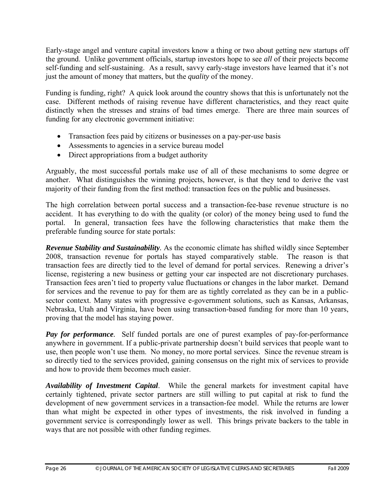Early-stage angel and venture capital investors know a thing or two about getting new startups off the ground. Unlike government officials, startup investors hope to see *all* of their projects become self-funding and self-sustaining. As a result, savvy early-stage investors have learned that it's not just the amount of money that matters, but the *quality* of the money.

Funding is funding, right? A quick look around the country shows that this is unfortunately not the case. Different methods of raising revenue have different characteristics, and they react quite distinctly when the stresses and strains of bad times emerge. There are three main sources of funding for any electronic government initiative:

- Transaction fees paid by citizens or businesses on a pay-per-use basis
- Assessments to agencies in a service bureau model
- Direct appropriations from a budget authority

Arguably, the most successful portals make use of all of these mechanisms to some degree or another. What distinguishes the winning projects, however, is that they tend to derive the vast majority of their funding from the first method: transaction fees on the public and businesses.

The high correlation between portal success and a transaction-fee-base revenue structure is no accident. It has everything to do with the quality (or color) of the money being used to fund the portal. In general, transaction fees have the following characteristics that make them the preferable funding source for state portals:

*Revenue Stability and Sustainability.* As the economic climate has shifted wildly since September 2008, transaction revenue for portals has stayed comparatively stable. The reason is that transaction fees are directly tied to the level of demand for portal services. Renewing a driver's license, registering a new business or getting your car inspected are not discretionary purchases. Transaction fees aren't tied to property value fluctuations or changes in the labor market. Demand for services and the revenue to pay for them are as tightly correlated as they can be in a publicsector context. Many states with progressive e-government solutions, such as Kansas, Arkansas, Nebraska, Utah and Virginia, have been using transaction-based funding for more than 10 years, proving that the model has staying power.

*Pay for performance.* Self funded portals are one of purest examples of pay-for-performance anywhere in government. If a public-private partnership doesn't build services that people want to use, then people won't use them. No money, no more portal services. Since the revenue stream is so directly tied to the services provided, gaining consensus on the right mix of services to provide and how to provide them becomes much easier.

*Availability of Investment Capital*. While the general markets for investment capital have certainly tightened, private sector partners are still willing to put capital at risk to fund the development of new government services in a transaction-fee model. While the returns are lower than what might be expected in other types of investments, the risk involved in funding a government service is correspondingly lower as well. This brings private backers to the table in ways that are not possible with other funding regimes.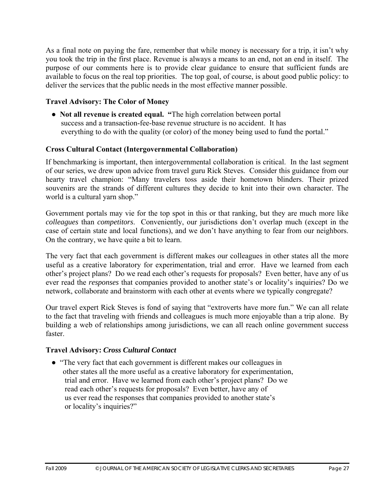As a final note on paying the fare, remember that while money is necessary for a trip, it isn't why you took the trip in the first place. Revenue is always a means to an end, not an end in itself. The purpose of our comments here is to provide clear guidance to ensure that sufficient funds are available to focus on the real top priorities. The top goal, of course, is about good public policy: to deliver the services that the public needs in the most effective manner possible.

#### **Travel Advisory: The Color of Money**

**● Not all revenue is created equal. "**The high correlation between portal success and a transaction-fee-base revenue structure is no accident. It has everything to do with the quality (or color) of the money being used to fund the portal."

#### **Cross Cultural Contact (Intergovernmental Collaboration)**

If benchmarking is important, then intergovernmental collaboration is critical. In the last segment of our series, we drew upon advice from travel guru Rick Steves. Consider this guidance from our hearty travel champion: "Many travelers toss aside their hometown blinders. Their prized souvenirs are the strands of different cultures they decide to knit into their own character. The world is a cultural yarn shop."

Government portals may vie for the top spot in this or that ranking, but they are much more like *colleagues* than *competitors*. Conveniently, our jurisdictions don't overlap much (except in the case of certain state and local functions), and we don't have anything to fear from our neighbors. On the contrary, we have quite a bit to learn.

The very fact that each government is different makes our colleagues in other states all the more useful as a creative laboratory for experimentation, trial and error. Have we learned from each other's project plans? Do we read each other's requests for proposals? Even better, have any of us ever read the *responses* that companies provided to another state's or locality's inquiries? Do we network, collaborate and brainstorm with each other at events where we typically congregate?

Our travel expert Rick Steves is fond of saying that "extroverts have more fun." We can all relate to the fact that traveling with friends and colleagues is much more enjoyable than a trip alone. By building a web of relationships among jurisdictions, we can all reach online government success faster.

#### **Travel Advisory:** *Cross Cultural Contact*

• "The very fact that each government is different makes our colleagues in other states all the more useful as a creative laboratory for experimentation, trial and error. Have we learned from each other's project plans? Do we read each other's requests for proposals? Even better, have any of us ever read the responses that companies provided to another state's or locality's inquiries?"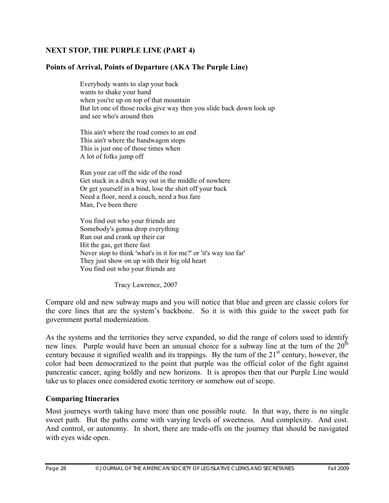#### **NEXT STOP, THE PURPLE LINE (PART 4)**

#### **Points of Arrival, Points of Departure (AKA The Purple Line)**

Everybody wants to slap your back wants to shake your hand when you're up on top of that mountain But let one of those rocks give way then you slide back down look up and see who's around then

This ain't where the road comes to an end This ain't where the bandwagon stops This is just one of those times when A lot of folks jump off

Run your car off the side of the road Get stuck in a ditch way out in the middle of nowhere Or get yourself in a bind, lose the shirt off your back Need a floor, need a couch, need a bus fare Man, I've been there

You find out who your friends are Somebody's gonna drop everything Run out and crank up their car Hit the gas, get there fast Never stop to think 'what's in it for me?' or 'it's way too far' They just show on up with their big old heart You find out who your friends are

Tracy Lawrence, 2007

Compare old and new subway maps and you will notice that blue and green are classic colors for the core lines that are the system's backbone. So it is with this guide to the sweet path for government portal modernization.

As the systems and the territories they serve expanded, so did the range of colors used to identify new lines. Purple would have been an unusual choice for a subway line at the turn of the  $20^{th}$ century because it signified wealth and its trappings. By the turn of the  $21<sup>st</sup>$  century, however, the color had been democratized to the point that purple was the official color of the fight against pancreatic cancer, aging boldly and new horizons. It is apropos then that our Purple Line would take us to places once considered exotic territory or somehow out of scope.

#### **Comparing Itineraries**

Most journeys worth taking have more than one possible route. In that way, there is no single sweet path. But the paths come with varying levels of sweetness. And complexity. And cost. And control, or autonomy. In short, there are trade-offs on the journey that should be navigated with eyes wide open.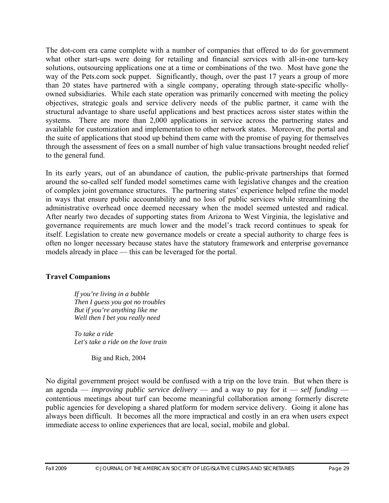The dot-com era came complete with a number of companies that offered to do for government what other start-ups were doing for retailing and financial services with all-in-one turn-key solutions, outsourcing applications one at a time or combinations of the two. Most have gone the way of the Pets.com sock puppet. Significantly, though, over the past 17 years a group of more than 20 states have partnered with a single company, operating through state-specific whollyowned subsidiaries. While each state operation was primarily concerned with meeting the policy objectives, strategic goals and service delivery needs of the public partner, it came with the structural advantage to share useful applications and best practices across sister states within the systems. There are more than 2,000 applications in service across the partnering states and available for customization and implementation to other network states. Moreover, the portal and the suite of applications that stood up behind them came with the promise of paying for themselves through the assessment of fees on a small number of high value transactions brought needed relief to the general fund.

In its early years, out of an abundance of caution, the public-private partnerships that formed around the so-called self funded model sometimes came with legislative changes and the creation of complex joint governance structures. The partnering states' experience helped refine the model in ways that ensure public accountability and no loss of public services while streamlining the administrative overhead once deemed necessary when the model seemed untested and radical. After nearly two decades of supporting states from Arizona to West Virginia, the legislative and governance requirements are much lower and the model's track record continues to speak for itself. Legislation to create new governance models or create a special authority to charge fees is often no longer necessary because states have the statutory framework and enterprise governance models already in place — this can be leveraged for the portal.

#### **Travel Companions**

*If you're living in a bubble Then I guess you got no troubles But if you're anything like me Well then I bet you really need* 

*To take a ride Let's take a ride on the love train* 

Big and Rich, 2004

No digital government project would be confused with a trip on the love train. But when there is an agenda — *improving public service delivery* — and a way to pay for it — *self funding* contentious meetings about turf can become meaningful collaboration among formerly discrete public agencies for developing a shared platform for modern service delivery. Going it alone has always been difficult. It becomes all the more impractical and costly in an era when users expect immediate access to online experiences that are local, social, mobile and global.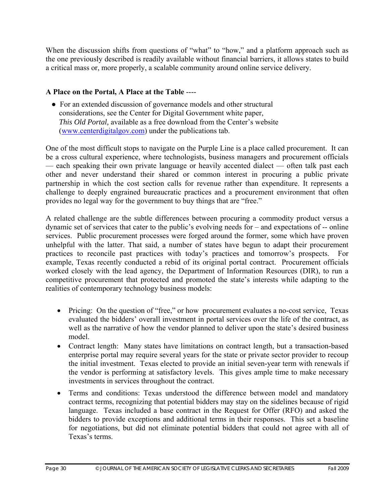When the discussion shifts from questions of "what" to "how," and a platform approach such as the one previously described is readily available without financial barriers, it allows states to build a critical mass or, more properly, a scalable community around online service delivery.

#### **A Place on the Portal, A Place at the Table** ----

• For an extended discussion of governance models and other structural considerations, see the Center for Digital Government white paper, *This Old Portal,* available as a free download from the Center's website (www.centerdigitalgov.com) under the publications tab.

One of the most difficult stops to navigate on the Purple Line is a place called procurement. It can be a cross cultural experience, where technologists, business managers and procurement officials — each speaking their own private language or heavily accented dialect — often talk past each other and never understand their shared or common interest in procuring a public private partnership in which the cost section calls for revenue rather than expenditure. It represents a challenge to deeply engrained bureaucratic practices and a procurement environment that often provides no legal way for the government to buy things that are "free."

A related challenge are the subtle differences between procuring a commodity product versus a dynamic set of services that cater to the public's evolving needs for – and expectations of -- online services. Public procurement processes were forged around the former, some which have proven unhelpful with the latter. That said, a number of states have begun to adapt their procurement practices to reconcile past practices with today's practices and tomorrow's prospects. For example, Texas recently conducted a rebid of its original portal contract. Procurement officials worked closely with the lead agency, the Department of Information Resources (DIR), to run a competitive procurement that protected and promoted the state's interests while adapting to the realities of contemporary technology business models:

- Pricing: On the question of "free," or how procurement evaluates a no-cost service, Texas evaluated the bidders' overall investment in portal services over the life of the contract, as well as the narrative of how the vendor planned to deliver upon the state's desired business model.
- Contract length: Many states have limitations on contract length, but a transaction-based enterprise portal may require several years for the state or private sector provider to recoup the initial investment. Texas elected to provide an initial seven-year term with renewals if the vendor is performing at satisfactory levels. This gives ample time to make necessary investments in services throughout the contract.
- Terms and conditions: Texas understood the difference between model and mandatory contract terms, recognizing that potential bidders may stay on the sidelines because of rigid language. Texas included a base contract in the Request for Offer (RFO) and asked the bidders to provide exceptions and additional terms in their responses. This set a baseline for negotiations, but did not eliminate potential bidders that could not agree with all of Texas's terms.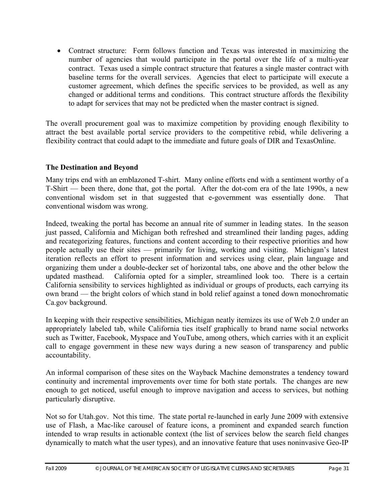• Contract structure: Form follows function and Texas was interested in maximizing the number of agencies that would participate in the portal over the life of a multi-year contract. Texas used a simple contract structure that features a single master contract with baseline terms for the overall services. Agencies that elect to participate will execute a customer agreement, which defines the specific services to be provided, as well as any changed or additional terms and conditions. This contract structure affords the flexibility to adapt for services that may not be predicted when the master contract is signed.

The overall procurement goal was to maximize competition by providing enough flexibility to attract the best available portal service providers to the competitive rebid, while delivering a flexibility contract that could adapt to the immediate and future goals of DIR and TexasOnline.

# **The Destination and Beyond**

Many trips end with an emblazoned T-shirt. Many online efforts end with a sentiment worthy of a T-Shirt — been there, done that, got the portal. After the dot-com era of the late 1990s, a new conventional wisdom set in that suggested that e-government was essentially done. That conventional wisdom was wrong.

Indeed, tweaking the portal has become an annual rite of summer in leading states. In the season just passed, California and Michigan both refreshed and streamlined their landing pages, adding and recategorizing features, functions and content according to their respective priorities and how people actually use their sites — primarily for living, working and visiting. Michigan's latest iteration reflects an effort to present information and services using clear, plain language and organizing them under a double-decker set of horizontal tabs, one above and the other below the updated masthead. California opted for a simpler, streamlined look too. There is a certain California sensibility to services highlighted as individual or groups of products, each carrying its own brand — the bright colors of which stand in bold relief against a toned down monochromatic Ca.gov background.

In keeping with their respective sensibilities, Michigan neatly itemizes its use of Web 2.0 under an appropriately labeled tab, while California ties itself graphically to brand name social networks such as Twitter, Facebook, Myspace and YouTube, among others, which carries with it an explicit call to engage government in these new ways during a new season of transparency and public accountability.

An informal comparison of these sites on the Wayback Machine demonstrates a tendency toward continuity and incremental improvements over time for both state portals. The changes are new enough to get noticed, useful enough to improve navigation and access to services, but nothing particularly disruptive.

Not so for Utah.gov. Not this time. The state portal re-launched in early June 2009 with extensive use of Flash, a Mac-like carousel of feature icons, a prominent and expanded search function intended to wrap results in actionable context (the list of services below the search field changes dynamically to match what the user types), and an innovative feature that uses noninvasive Geo-IP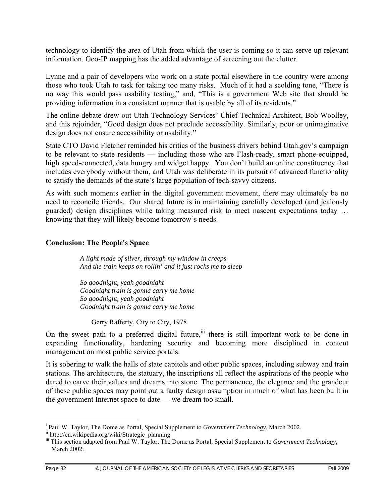technology to identify the area of Utah from which the user is coming so it can serve up relevant information. Geo-IP mapping has the added advantage of screening out the clutter.

Lynne and a pair of developers who work on a state portal elsewhere in the country were among those who took Utah to task for taking too many risks. Much of it had a scolding tone, "There is no way this would pass usability testing," and, "This is a government Web site that should be providing information in a consistent manner that is usable by all of its residents."

The online debate drew out Utah Technology Services' Chief Technical Architect, Bob Woolley, and this rejoinder, "Good design does not preclude accessibility. Similarly, poor or unimaginative design does not ensure accessibility or usability."

State CTO David Fletcher reminded his critics of the business drivers behind Utah.gov's campaign to be relevant to state residents — including those who are Flash-ready, smart phone-equipped, high speed-connected, data hungry and widget happy. You don't build an online constituency that includes everybody without them, and Utah was deliberate in its pursuit of advanced functionality to satisfy the demands of the state's large population of tech-savvy citizens.

As with such moments earlier in the digital government movement, there may ultimately be no need to reconcile friends. Our shared future is in maintaining carefully developed (and jealously guarded) design disciplines while taking measured risk to meet nascent expectations today … knowing that they will likely become tomorrow's needs.

#### **Conclusion: The People's Space**

*A light made of silver, through my window in creeps And the train keeps on rollin' and it just rocks me to sleep* 

*So goodnight, yeah goodnight Goodnight train is gonna carry me home So goodnight, yeah goodnight Goodnight train is gonna carry me home* 

Gerry Rafferty, City to City, 1978

On the sweet path to a preferred digital future,<sup>iii</sup> there is still important work to be done in expanding functionality, hardening security and becoming more disciplined in content management on most public service portals.

It is sobering to walk the halls of state capitols and other public spaces, including subway and train stations. The architecture, the statuary, the inscriptions all reflect the aspirations of the people who dared to carve their values and dreams into stone. The permanence, the elegance and the grandeur of these public spaces may point out a faulty design assumption in much of what has been built in the government Internet space to date — we dream too small.

 $\overline{a}$ 

<sup>&</sup>lt;sup>i</sup> Paul W. Taylor, The Dome as Portal, Special Supplement to *Government Technology*, March 2002.<br><sup>ii</sup> http://en.wikipedia.org/wiki/Strategic\_planning

iii This section adapted from Paul W. Taylor, The Dome as Portal, Special Supplement to *Government Technology*, March 2002.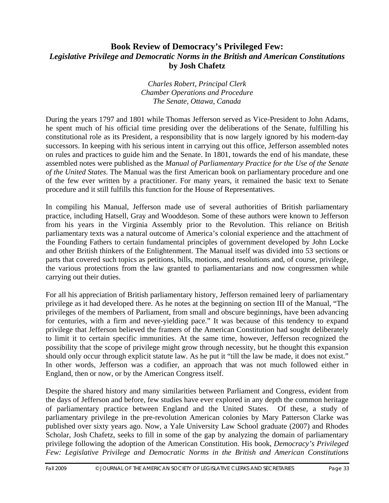# **Book Review of Democracy's Privileged Few:**  *Legislative Privilege and Democratic Norms in the British and American Constitutions*  **by Josh Chafetz**

*Charles Robert, Principal Clerk Chamber Operations and Procedure The Senate, Ottawa, Canada* 

During the years 1797 and 1801 while Thomas Jefferson served as Vice-President to John Adams, he spent much of his official time presiding over the deliberations of the Senate, fulfilling his constitutional role as its President, a responsibility that is now largely ignored by his modern-day successors. In keeping with his serious intent in carrying out this office, Jefferson assembled notes on rules and practices to guide him and the Senate. In 1801, towards the end of his mandate, these assembled notes were published as the *Manual of Parliamentary Practice for the Use of the Senate of the United States*. The Manual was the first American book on parliamentary procedure and one of the few ever written by a practitioner. For many years, it remained the basic text to Senate procedure and it still fulfills this function for the House of Representatives.

In compiling his Manual, Jefferson made use of several authorities of British parliamentary practice, including Hatsell, Gray and Wooddeson. Some of these authors were known to Jefferson from his years in the Virginia Assembly prior to the Revolution. This reliance on British parliamentary texts was a natural outcome of America's colonial experience and the attachment of the Founding Fathers to certain fundamental principles of government developed by John Locke and other British thinkers of the Enlightenment. The Manual itself was divided into 53 sections or parts that covered such topics as petitions, bills, motions, and resolutions and, of course, privilege, the various protections from the law granted to parliamentarians and now congressmen while carrying out their duties.

For all his appreciation of British parliamentary history, Jefferson remained leery of parliamentary privilege as it had developed there. As he notes at the beginning on section III of the Manual, "The privileges of the members of Parliament, from small and obscure beginnings, have been advancing for centuries, with a firm and never-yielding pace." It was because of this tendency to expand privilege that Jefferson believed the framers of the American Constitution had sought deliberately to limit it to certain specific immunities. At the same time, however, Jefferson recognized the possibility that the scope of privilege might grow through necessity, but he thought this expansion should only occur through explicit statute law. As he put it "till the law be made, it does not exist." In other words, Jefferson was a codifier, an approach that was not much followed either in England, then or now, or by the American Congress itself.

Despite the shared history and many similarities between Parliament and Congress, evident from the days of Jefferson and before, few studies have ever explored in any depth the common heritage of parliamentary practice between England and the United States. Of these, a study of parliamentary privilege in the pre-revolution American colonies by Mary Patterson Clarke was published over sixty years ago. Now, a Yale University Law School graduate (2007) and Rhodes Scholar, Josh Chafetz, seeks to fill in some of the gap by analyzing the domain of parliamentary privilege following the adoption of the American Constitution. His book, *Democracy's Privileged Few: Legislative Privilege and Democratic Norms in the British and American Constitutions*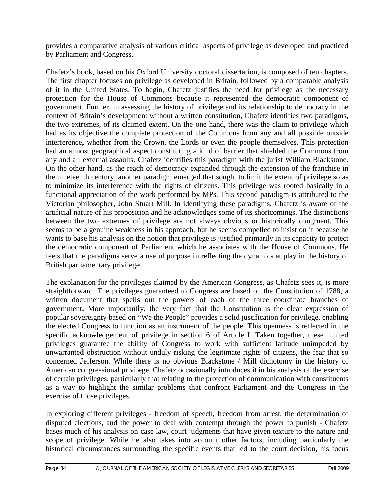provides a comparative analysis of various critical aspects of privilege as developed and practiced by Parliament and Congress.

Chafetz's book, based on his Oxford University doctoral dissertation, is composed of ten chapters. The first chapter focuses on privilege as developed in Britain, followed by a comparable analysis of it in the United States. To begin, Chafetz justifies the need for privilege as the necessary protection for the House of Commons because it represented the democratic component of government. Further, in assessing the history of privilege and its relationship to democracy in the context of Britain's development without a written constitution, Chafetz identifies two paradigms, the two extremes, of its claimed extent. On the one hand, there was the claim to privilege which had as its objective the complete protection of the Commons from any and all possible outside interference, whether from the Crown, the Lords or even the people themselves. This protection had an almost geographical aspect constituting a kind of barrier that shielded the Commons from any and all external assaults. Chafetz identifies this paradigm with the jurist William Blackstone. On the other hand, as the reach of democracy expanded through the extension of the franchise in the nineteenth century, another paradigm emerged that sought to limit the extent of privilege so as to minimize its interference with the rights of citizens. This privilege was rooted basically in a functional appreciation of the work performed by MPs. This second paradigm is attributed to the Victorian philosopher, John Stuart Mill. In identifying these paradigms, Chafetz is aware of the artificial nature of his proposition and he acknowledges some of its shortcomings. The distinctions between the two extremes of privilege are not always obvious or historically congruent. This seems to be a genuine weakness in his approach, but he seems compelled to insist on it because he wants to base his analysis on the notion that privilege is justified primarily in its capacity to protect the democratic component of Parliament which he associates with the House of Commons. He feels that the paradigms serve a useful purpose in reflecting the dynamics at play in the history of British parliamentary privilege.

The explanation for the privileges claimed by the American Congress, as Chafetz sees it, is more straightforward. The privileges guaranteed to Congress are based on the Constitution of 1788, a written document that spells out the powers of each of the three coordinate branches of government. More importantly, the very fact that the Constitution is the clear expression of popular sovereignty based on "We the People" provides a solid justification for privilege, enabling the elected Congress to function as an instrument of the people. This openness is reflected in the specific acknowledgement of privilege in section 6 of Article I. Taken together, these limited privileges guarantee the ability of Congress to work with sufficient latitude unimpeded by unwarranted obstruction without unduly risking the legitimate rights of citizens, the fear that so concerned Jefferson. While there is no obvious Blackstone / Mill dichotomy in the history of American congressional privilege, Chafetz occasionally introduces it in his analysis of the exercise of certain privileges, particularly that relating to the protection of communication with constituents as a way to highlight the similar problems that confront Parliament and the Congress in the exercise of those privileges.

In exploring different privileges - freedom of speech, freedom from arrest, the determination of disputed elections, and the power to deal with contempt through the power to punish - Chafetz bases much of his analysis on case law, court judgments that have given texture to the nature and scope of privilege. While he also takes into account other factors, including particularly the historical circumstances surrounding the specific events that led to the court decision, his focus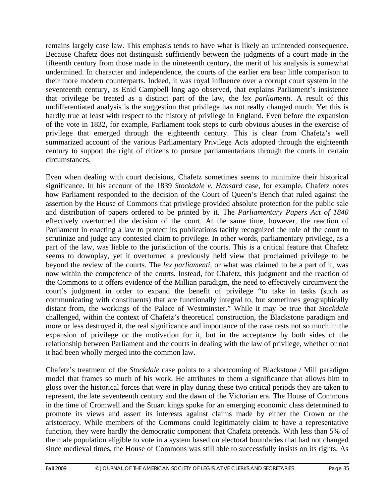remains largely case law. This emphasis tends to have what is likely an unintended consequence. Because Chafetz does not distinguish sufficiently between the judgments of a court made in the fifteenth century from those made in the nineteenth century, the merit of his analysis is somewhat undermined. In character and independence, the courts of the earlier era bear little comparison to their more modern counterparts. Indeed, it was royal influence over a corrupt court system in the seventeenth century, as Enid Campbell long ago observed, that explains Parliament's insistence that privilege be treated as a distinct part of the law, the *lex parliamenti*. A result of this undifferentiated analysis is the suggestion that privilege has not really changed much. Yet this is hardly true at least with respect to the history of privilege in England. Even before the expansion of the vote in 1832, for example, Parliament took steps to curb obvious abuses in the exercise of privilege that emerged through the eighteenth century. This is clear from Chafetz's well summarized account of the various Parliamentary Privilege Acts adopted through the eighteenth century to support the right of citizens to pursue parliamentarians through the courts in certain circumstances.

Even when dealing with court decisions, Chafetz sometimes seems to minimize their historical significance. In his account of the 1839 *Stockdale v. Hansard* case, for example, Chafetz notes how Parliament responded to the decision of the Court of Queen's Bench that ruled against the assertion by the House of Commons that privilege provided absolute protection for the public sale and distribution of papers ordered to be printed by it. The *Parliamentary Papers Act of 1840* effectively overturned the decision of the court. At the same time, however, the reaction of Parliament in enacting a law to protect its publications tacitly recognized the role of the court to scrutinize and judge any contested claim to privilege. In other words, parliamentary privilege, as a part of the law, was liable to the jurisdiction of the courts. This is a critical feature that Chafetz seems to downplay, yet it overturned a previously held view that proclaimed privilege to be beyond the review of the courts. The *lex parliamenti*, or what was claimed to be a part of it, was now within the competence of the courts. Instead, for Chafetz, this judgment and the reaction of the Commons to it offers evidence of the Millian paradigm, the need to effectively circumvent the court's judgment in order to expand the benefit of privilege "to take in tasks (such as communicating with constituents) that are functionally integral to, but sometimes geographically distant from, the workings of the Palace of Westminster." While it may be true that *Stockdale* challenged, within the context of Chafetz's theoretical construction, the Blackstone paradigm and more or less destroyed it, the real significance and importance of the case rests not so much in the expansion of privilege or the motivation for it, but in the acceptance by both sides of the relationship between Parliament and the courts in dealing with the law of privilege, whether or not it had been wholly merged into the common law.

Chafetz's treatment of the *Stockdale* case points to a shortcoming of Blackstone / Mill paradigm model that frames so much of his work. He attributes to them a significance that allows him to gloss over the historical forces that were in play during these two critical periods they are taken to represent, the late seventeenth century and the dawn of the Victorian era. The House of Commons in the time of Cromwell and the Stuart kings spoke for an emerging economic class determined to promote its views and assert its interests against claims made by either the Crown or the aristocracy. While members of the Commons could legitimately claim to have a representative function, they were hardly the democratic component that Chafetz pretends. With less than 5% of the male population eligible to vote in a system based on electoral boundaries that had not changed since medieval times, the House of Commons was still able to successfully insists on its rights. As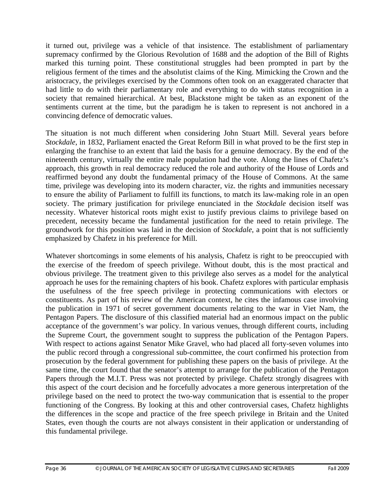it turned out, privilege was a vehicle of that insistence. The establishment of parliamentary supremacy confirmed by the Glorious Revolution of 1688 and the adoption of the Bill of Rights marked this turning point. These constitutional struggles had been prompted in part by the religious ferment of the times and the absolutist claims of the King. Mimicking the Crown and the aristocracy, the privileges exercised by the Commons often took on an exaggerated character that had little to do with their parliamentary role and everything to do with status recognition in a society that remained hierarchical. At best, Blackstone might be taken as an exponent of the sentiments current at the time, but the paradigm he is taken to represent is not anchored in a convincing defence of democratic values.

The situation is not much different when considering John Stuart Mill. Several years before *Stockdale*, in 1832, Parliament enacted the Great Reform Bill in what proved to be the first step in enlarging the franchise to an extent that laid the basis for a genuine democracy. By the end of the nineteenth century, virtually the entire male population had the vote. Along the lines of Chafetz's approach, this growth in real democracy reduced the role and authority of the House of Lords and reaffirmed beyond any doubt the fundamental primacy of the House of Commons. At the same time, privilege was developing into its modern character, viz. the rights and immunities necessary to ensure the ability of Parliament to fulfill its functions, to match its law-making role in an open society. The primary justification for privilege enunciated in the *Stockdale* decision itself was necessity. Whatever historical roots might exist to justify previous claims to privilege based on precedent, necessity became the fundamental justification for the need to retain privilege. The groundwork for this position was laid in the decision of *Stockdale*, a point that is not sufficiently emphasized by Chafetz in his preference for Mill.

Whatever shortcomings in some elements of his analysis, Chafetz is right to be preoccupied with the exercise of the freedom of speech privilege. Without doubt, this is the most practical and obvious privilege. The treatment given to this privilege also serves as a model for the analytical approach he uses for the remaining chapters of his book. Chafetz explores with particular emphasis the usefulness of the free speech privilege in protecting communications with electors or constituents. As part of his review of the American context, he cites the infamous case involving the publication in 1971 of secret government documents relating to the war in Viet Nam, the Pentagon Papers. The disclosure of this classified material had an enormous impact on the public acceptance of the government's war policy. In various venues, through different courts, including the Supreme Court, the government sought to suppress the publication of the Pentagon Papers. With respect to actions against Senator Mike Gravel, who had placed all forty-seven volumes into the public record through a congressional sub-committee, the court confirmed his protection from prosecution by the federal government for publishing these papers on the basis of privilege. At the same time, the court found that the senator's attempt to arrange for the publication of the Pentagon Papers through the M.I.T. Press was not protected by privilege. Chafetz strongly disagrees with this aspect of the court decision and he forcefully advocates a more generous interpretation of the privilege based on the need to protect the two-way communication that is essential to the proper functioning of the Congress. By looking at this and other controversial cases, Chafetz highlights the differences in the scope and practice of the free speech privilege in Britain and the United States, even though the courts are not always consistent in their application or understanding of this fundamental privilege.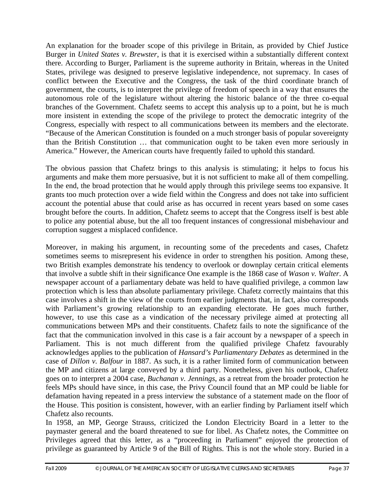An explanation for the broader scope of this privilege in Britain, as provided by Chief Justice Burger in *United States v. Brewster*, is that it is exercised within a substantially different context there. According to Burger, Parliament is the supreme authority in Britain, whereas in the United States, privilege was designed to preserve legislative independence, not supremacy. In cases of conflict between the Executive and the Congress, the task of the third coordinate branch of government, the courts, is to interpret the privilege of freedom of speech in a way that ensures the autonomous role of the legislature without altering the historic balance of the three co-equal branches of the Government. Chafetz seems to accept this analysis up to a point, but he is much more insistent in extending the scope of the privilege to protect the democratic integrity of the Congress, especially with respect to all communications between its members and the electorate. "Because of the American Constitution is founded on a much stronger basis of popular sovereignty than the British Constitution … that communication ought to be taken even more seriously in America." However, the American courts have frequently failed to uphold this standard.

The obvious passion that Chafetz brings to this analysis is stimulating; it helps to focus his arguments and make them more persuasive, but it is not sufficient to make all of them compelling. In the end, the broad protection that he would apply through this privilege seems too expansive. It grants too much protection over a wide field within the Congress and does not take into sufficient account the potential abuse that could arise as has occurred in recent years based on some cases brought before the courts. In addition, Chafetz seems to accept that the Congress itself is best able to police any potential abuse, but the all too frequent instances of congressional misbehaviour and corruption suggest a misplaced confidence.

Moreover, in making his argument, in recounting some of the precedents and cases, Chafetz sometimes seems to misrepresent his evidence in order to strengthen his position. Among these, two British examples demonstrate his tendency to overlook or downplay certain critical elements that involve a subtle shift in their significance One example is the 1868 case of *Wason v. Walter*. A newspaper account of a parliamentary debate was held to have qualified privilege, a common law protection which is less than absolute parliamentary privilege. Chafetz correctly maintains that this case involves a shift in the view of the courts from earlier judgments that, in fact, also corresponds with Parliament's growing relationship to an expanding electorate. He goes much further, however, to use this case as a vindication of the necessary privilege aimed at protecting all communications between MPs and their constituents. Chafetz fails to note the significance of the fact that the communication involved in this case is a fair account by a newspaper of a speech in Parliament. This is not much different from the qualified privilege Chafetz favourably acknowledges applies to the publication of *Hansard's Parliamentary Debates* as determined in the case of *Dillon v. Balfour* in 1887. As such, it is a rather limited form of communication between the MP and citizens at large conveyed by a third party. Nonetheless, given his outlook, Chafetz goes on to interpret a 2004 case, *Buchanan v. Jennings*, as a retreat from the broader protection he feels MPs should have since, in this case, the Privy Council found that an MP could be liable for defamation having repeated in a press interview the substance of a statement made on the floor of the House. This position is consistent, however, with an earlier finding by Parliament itself which Chafetz also recounts.

In 1958, an MP, George Strauss, criticized the London Electricity Board in a letter to the paymaster general and the board threatened to sue for libel. As Chafetz notes, the Committee on Privileges agreed that this letter, as a "proceeding in Parliament" enjoyed the protection of privilege as guaranteed by Article 9 of the Bill of Rights. This is not the whole story. Buried in a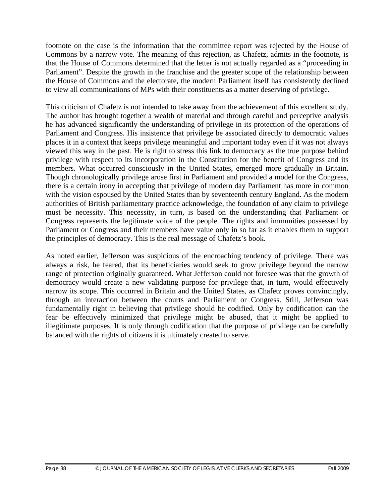footnote on the case is the information that the committee report was rejected by the House of Commons by a narrow vote. The meaning of this rejection, as Chafetz, admits in the footnote, is that the House of Commons determined that the letter is not actually regarded as a "proceeding in Parliament". Despite the growth in the franchise and the greater scope of the relationship between the House of Commons and the electorate, the modern Parliament itself has consistently declined to view all communications of MPs with their constituents as a matter deserving of privilege.

This criticism of Chafetz is not intended to take away from the achievement of this excellent study. The author has brought together a wealth of material and through careful and perceptive analysis he has advanced significantly the understanding of privilege in its protection of the operations of Parliament and Congress. His insistence that privilege be associated directly to democratic values places it in a context that keeps privilege meaningful and important today even if it was not always viewed this way in the past. He is right to stress this link to democracy as the true purpose behind privilege with respect to its incorporation in the Constitution for the benefit of Congress and its members. What occurred consciously in the United States, emerged more gradually in Britain. Though chronologically privilege arose first in Parliament and provided a model for the Congress, there is a certain irony in accepting that privilege of modern day Parliament has more in common with the vision espoused by the United States than by seventeenth century England. As the modern authorities of British parliamentary practice acknowledge, the foundation of any claim to privilege must be necessity. This necessity, in turn, is based on the understanding that Parliament or Congress represents the legitimate voice of the people. The rights and immunities possessed by Parliament or Congress and their members have value only in so far as it enables them to support the principles of democracy. This is the real message of Chafetz's book.

As noted earlier, Jefferson was suspicious of the encroaching tendency of privilege. There was always a risk, he feared, that its beneficiaries would seek to grow privilege beyond the narrow range of protection originally guaranteed. What Jefferson could not foresee was that the growth of democracy would create a new validating purpose for privilege that, in turn, would effectively narrow its scope. This occurred in Britain and the United States, as Chafetz proves convincingly, through an interaction between the courts and Parliament or Congress. Still, Jefferson was fundamentally right in believing that privilege should be codified. Only by codification can the fear be effectively minimized that privilege might be abused, that it might be applied to illegitimate purposes. It is only through codification that the purpose of privilege can be carefully balanced with the rights of citizens it is ultimately created to serve.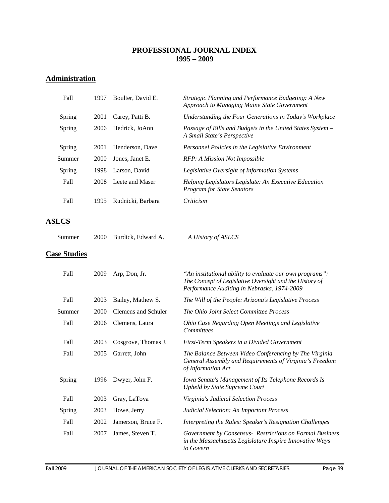#### **PROFESSIONAL JOURNAL INDEX 1995 – 2009**

# **Administration**

| Fall   | 1997 | Boulter, David E. | Strategic Planning and Performance Budgeting: A New<br>Approach to Managing Maine State Government |
|--------|------|-------------------|----------------------------------------------------------------------------------------------------|
| Spring | 2001 | Carey, Patti B.   | Understanding the Four Generations in Today's Workplace                                            |
| Spring | 2006 | Hedrick, JoAnn    | Passage of Bills and Budgets in the United States System –<br>A Small State's Perspective          |
| Spring | 2001 | Henderson, Dave   | Personnel Policies in the Legislative Environment                                                  |
| Summer | 2000 | Jones, Janet E.   | RFP: A Mission Not Impossible                                                                      |
| Spring | 1998 | Larson, David     | Legislative Oversight of Information Systems                                                       |
| Fall   | 2008 | Leete and Maser   | Helping Legislators Legislate: An Executive Education<br><b>Program for State Senators</b>         |
| Fall   | 1995 | Rudnicki, Barbara | Criticism                                                                                          |

# **ASLCS**

#### **Case Studies**

| Fall          | 2009 | Arp, Don, Jr.       | "An institutional ability to evaluate our own programs":<br>The Concept of Legislative Oversight and the History of<br>Performance Auditing in Nebraska, 1974-2009 |
|---------------|------|---------------------|--------------------------------------------------------------------------------------------------------------------------------------------------------------------|
| Fall          | 2003 | Bailey, Mathew S.   | The Will of the People: Arizona's Legislative Process                                                                                                              |
| Summer        | 2000 | Clemens and Schuler | The Ohio Joint Select Committee Process                                                                                                                            |
| Fall          | 2006 | Clemens, Laura      | Ohio Case Regarding Open Meetings and Legislative<br>Committees                                                                                                    |
| Fall          | 2003 | Cosgrove, Thomas J. | First-Term Speakers in a Divided Government                                                                                                                        |
| Fall          | 2005 | Garrett, John       | The Balance Between Video Conferencing by The Virginia<br>General Assembly and Requirements of Virginia's Freedom<br>of Information Act                            |
| <b>Spring</b> | 1996 | Dwyer, John F.      | Iowa Senate's Management of Its Telephone Records Is<br><b>Upheld by State Supreme Court</b>                                                                       |
| Fall          | 2003 | Gray, LaToya        | Virginia's Judicial Selection Process                                                                                                                              |
| Spring        | 2003 | Howe, Jerry         | Judicial Selection: An Important Process                                                                                                                           |
| Fall          | 2002 | Jamerson, Bruce F.  | Interpreting the Rules: Speaker's Resignation Challenges                                                                                                           |
| Fall          | 2007 | James, Steven T.    | Government by Consensus-Restrictions on Formal Business<br>in the Massachusetts Legislature Inspire Innovative Ways<br>to Govern                                   |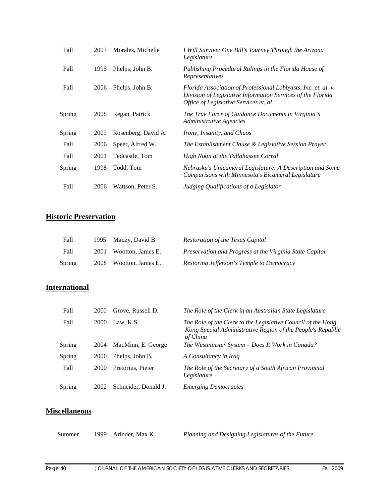| Fall   | 2003 | Morales, Michelle   | I Will Survive: One Bill's Journey Through the Arizona<br>Legislature                                                                                                  |
|--------|------|---------------------|------------------------------------------------------------------------------------------------------------------------------------------------------------------------|
| Fall   | 1995 | Phelps, John B.     | Publishing Procedural Rulings in the Florida House of<br>Representatives                                                                                               |
| Fall   | 2006 | Phelps, John B.     | Florida Association of Professional Lobbyists, Inc. et. al. v.<br>Division of Legislative Information Services of the Florida<br>Office of Legislative Services et. al |
| Spring | 2008 | Regan, Patrick      | The True Force of Guidance Documents in Virginia's<br><b>Administrative Agencies</b>                                                                                   |
| Spring | 2009 | Rosenberg, David A. | <i>Irony, Insanity, and Chaos</i>                                                                                                                                      |
| Fall   | 2006 | Speer, Alfred W.    | The Establishment Clause & Legislative Session Prayer                                                                                                                  |
| Fall   | 2001 | Tedcastle, Tom      | High Noon at the Tallahassee Corral                                                                                                                                    |
| Spring | 1998 | Todd, Tom           | Nebraska's Unicameral Legislature: A Description and Some<br>Comparisons with Minnesota's Bicameral Legislature                                                        |
| Fall   | 2006 | Wattson, Peter S.   | Judging Qualifications of a Legislator                                                                                                                                 |

# **Historic Preservation**

| Fall   | 1995 Mauzy, David B.   | Restoration of the Texas Capitol                        |
|--------|------------------------|---------------------------------------------------------|
| Fall   | 2001 Wootton, James E. | Preservation and Progress at the Virginia State Capitol |
| Spring | 2008 Wootton, James E. | Restoring Jefferson's Temple to Democracy               |

# **International**

| Fall   | 2000        | Grove, Russell D.    | The Role of the Clerk in an Australian State Legislature                                                                                |
|--------|-------------|----------------------|-----------------------------------------------------------------------------------------------------------------------------------------|
| Fall   | <b>2000</b> | Law, K.S.            | The Role of the Clerk to the Legislative Council of the Hong<br>Kong Special Administrative Region of the People's Republic<br>of China |
| Spring | 2004        | MacMinn, E. George   | The Westminster System – Does It Work in Canada?                                                                                        |
| Spring | 2006        | Phelps, John B.      | A Consultancy in Iraq                                                                                                                   |
| Fall   | 2000        | Pretorius, Pieter    | The Role of the Secretary of a South African Provincial<br>Legislature                                                                  |
| Spring | 2002        | Schneider, Donald J. | <b>Emerging Democracies</b>                                                                                                             |

# **Miscellaneous**

Summer 1999 Arinder, Max K. *Planning and Designing Legislatures of the Future*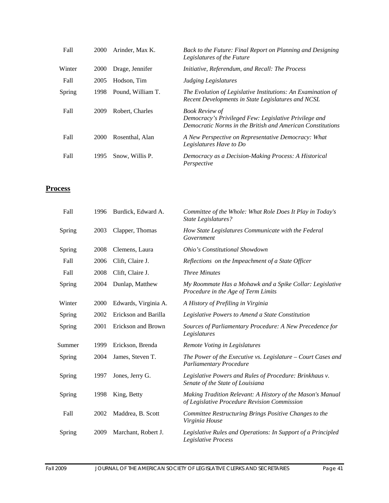| Fall   | <b>2000</b> | Arinder, Max K.   | Back to the Future: Final Report on Planning and Designing<br>Legislatures of the Future                                                     |
|--------|-------------|-------------------|----------------------------------------------------------------------------------------------------------------------------------------------|
| Winter | <b>2000</b> | Drage, Jennifer   | Initiative, Referendum, and Recall: The Process                                                                                              |
| Fall   | 2005        | Hodson, Tim       | Judging Legislatures                                                                                                                         |
| Spring | 1998        | Pound, William T. | The Evolution of Legislative Institutions: An Examination of<br>Recent Developments in State Legislatures and NCSL                           |
| Fall   | 2009        | Robert, Charles   | <b>Book Review of</b><br>Democracy's Privileged Few: Legislative Privilege and<br>Democratic Norms in the British and American Constitutions |
| Fall   | 2000        | Rosenthal, Alan   | A New Perspective on Representative Democracy: What<br>Legislatures Have to Do                                                               |
| Fall   | 1995        | Snow, Willis P.   | Democracy as a Decision-Making Process: A Historical<br>Perspective                                                                          |

#### **Process**

| Fall   | 1996 | Burdick, Edward A.   | Committee of the Whole: What Role Does It Play in Today's<br>State Legislatures?                           |
|--------|------|----------------------|------------------------------------------------------------------------------------------------------------|
| Spring | 2003 | Clapper, Thomas      | How State Legislatures Communicate with the Federal<br>Government                                          |
| Spring | 2008 | Clemens, Laura       | Ohio's Constitutional Showdown                                                                             |
| Fall   | 2006 | Clift, Claire J.     | Reflections on the Impeachment of a State Officer                                                          |
| Fall   | 2008 | Clift, Claire J.     | <b>Three Minutes</b>                                                                                       |
| Spring | 2004 | Dunlap, Matthew      | My Roommate Has a Mohawk and a Spike Collar: Legislative<br>Procedure in the Age of Term Limits            |
| Winter | 2000 | Edwards, Virginia A. | A History of Prefiling in Virginia                                                                         |
| Spring | 2002 | Erickson and Barilla | Legislative Powers to Amend a State Constitution                                                           |
| Spring | 2001 | Erickson and Brown   | Sources of Parliamentary Procedure: A New Precedence for<br>Legislatures                                   |
| Summer | 1999 | Erickson, Brenda     | Remote Voting in Legislatures                                                                              |
| Spring | 2004 | James, Steven T.     | The Power of the Executive vs. Legislature $-$ Court Cases and<br>Parliamentary Procedure                  |
| Spring | 1997 | Jones, Jerry G.      | Legislative Powers and Rules of Procedure: Brinkhaus v.<br>Senate of the State of Louisiana                |
| Spring | 1998 | King, Betty          | Making Tradition Relevant: A History of the Mason's Manual<br>of Legislative Procedure Revision Commission |
| Fall   | 2002 | Maddrea, B. Scott    | Committee Restructuring Brings Positive Changes to the<br>Virginia House                                   |
| Spring | 2009 | Marchant, Robert J.  | Legislative Rules and Operations: In Support of a Principled<br>Legislative Process                        |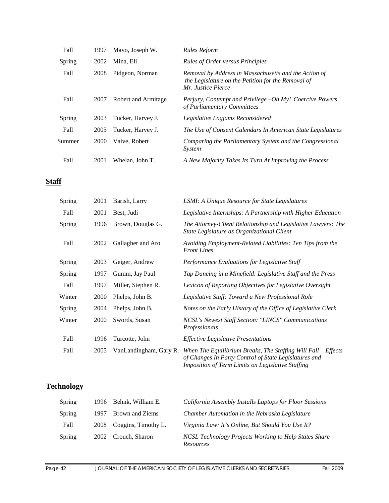| Fall   | 1997        | Mayo, Joseph W.     | <b>Rules Reform</b>                                                                                                               |
|--------|-------------|---------------------|-----------------------------------------------------------------------------------------------------------------------------------|
| Spring | 2002        | Mina, Eli           | <b>Rules of Order versus Principles</b>                                                                                           |
| Fall   | 2008        | Pidgeon, Norman     | Removal by Address in Massachusetts and the Action of<br>the Legislature on the Petition for the Removal of<br>Mr. Justice Pierce |
| Fall   | 2007        | Robert and Armitage | Perjury, Contempt and Privilege -Oh My! Coercive Powers<br>of Parliamentary Committees                                            |
| Spring | 2003        | Tucker, Harvey J.   | Legislative Logjams Reconsidered                                                                                                  |
| Fall   | 2005        | Tucker, Harvey J.   | The Use of Consent Calendars In American State Legislatures                                                                       |
| Summer | <b>2000</b> | Vaive, Robert       | Comparing the Parliamentary System and the Congressional<br>System                                                                |
| Fall   | 2001        | Whelan, John T.     | A New Majority Takes Its Turn At Improving the Process                                                                            |

# **Staff**

| Spring | 2001 | Barish, Larry          | LSMI: A Unique Resource for State Legislatures                                                                                                                                     |
|--------|------|------------------------|------------------------------------------------------------------------------------------------------------------------------------------------------------------------------------|
| Fall   | 2001 | Best, Judi             | Legislative Internships: A Partnership with Higher Education                                                                                                                       |
| Spring | 1996 | Brown, Douglas G.      | The Attorney-Client Relationship and Legislative Lawyers: The<br>State Legislature as Organizational Client                                                                        |
| Fall   | 2002 | Gallagher and Aro      | Avoiding Employment-Related Liabilities: Ten Tips from the<br><b>Front Lines</b>                                                                                                   |
| Spring | 2003 | Geiger, Andrew         | Performance Evaluations for Legislative Staff                                                                                                                                      |
| Spring | 1997 | Gumm, Jay Paul         | Tap Dancing in a Minefield: Legislative Staff and the Press                                                                                                                        |
| Fall   | 1997 | Miller, Stephen R.     | Lexicon of Reporting Objectives for Legislative Oversight                                                                                                                          |
| Winter | 2000 | Phelps, John B.        | Legislative Staff: Toward a New Professional Role                                                                                                                                  |
| Spring | 2004 | Phelps, John B.        | Notes on the Early History of the Office of Legislative Clerk                                                                                                                      |
| Winter | 2000 | Swords, Susan          | NCSL's Newest Staff Section: "LINCS" Communications<br>Professionals                                                                                                               |
| Fall   | 1996 | Turcotte, John         | <i>Effective Legislative Presentations</i>                                                                                                                                         |
| Fall   | 2005 | VanLandingham, Gary R. | When The Equilibrium Breaks, The Staffing Will Fall – Effects<br>of Changes In Party Control of State Legislatures and<br><b>Imposition of Term Limits on Legislative Staffing</b> |

# **Technology**

| Spring |      | 1996 Behnk, William E. | California Assembly Installs Laptops for Floor Sessions            |
|--------|------|------------------------|--------------------------------------------------------------------|
| Spring | 1997 | Brown and Ziems        | Chamber Automation in the Nebraska Legislature                     |
| Fall   | 2008 | Coggins, Timothy L.    | Virginia Law: It's Online, But Should You Use It?                  |
| Spring | 2002 | Crouch, Sharon         | NCSL Technology Projects Working to Help States Share<br>Resources |